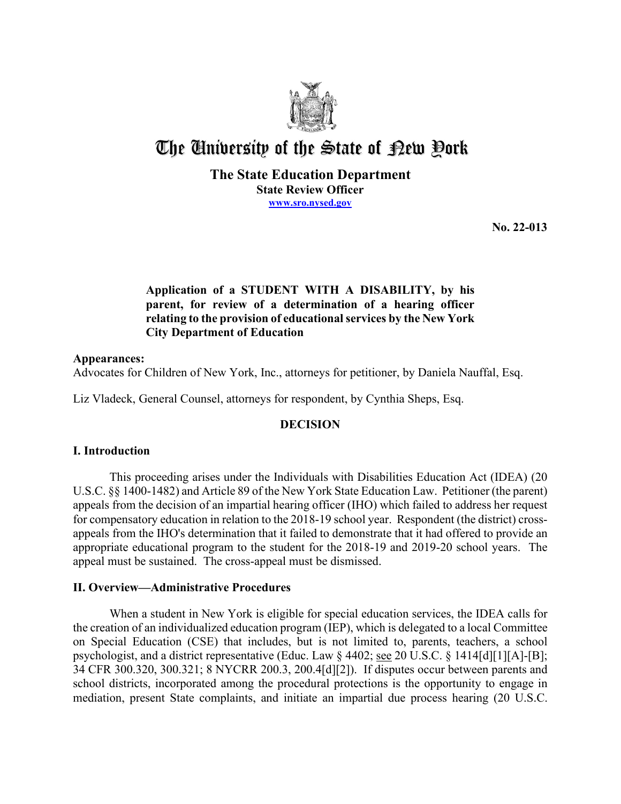

# The University of the State of Pew Pork

### **The State Education Department State Review Officer [www.sro.nysed.gov](http://www.sro.nysed.gov/)**

**No. 22-013** 

## **Application of a STUDENT WITH A DISABILITY, by his parent, for review of a determination of a hearing officer relating to the provision of educational services by the New York City Department of Education**

## **Appearances:**

Advocates for Children of New York, Inc., attorneys for petitioner, by Daniela Nauffal, Esq.

Liz Vladeck, General Counsel, attorneys for respondent, by Cynthia Sheps, Esq.

## **DECISION**

## **I. Introduction**

 appropriate educational program to the student for the 2018-19 and 2019-20 school years. The This proceeding arises under the Individuals with Disabilities Education Act (IDEA) (20 U.S.C. §§ 1400-1482) and Article 89 of the New York State Education Law. Petitioner (the parent) appeals from the decision of an impartial hearing officer (IHO) which failed to address her request for compensatory education in relation to the 2018-19 school year. Respondent (the district) crossappeals from the IHO's determination that it failed to demonstrate that it had offered to provide an appeal must be sustained. The cross-appeal must be dismissed.

## **II. Overview—Administrative Procedures**

 the creation of an individualized education program (IEP), which is delegated to a local Committee on Special Education (CSE) that includes, but is not limited to, parents, teachers, a school When a student in New York is eligible for special education services, the IDEA calls for psychologist, and a district representative (Educ. Law § 4402; see 20 U.S.C. § 1414[d][1][A]-[B]; 34 CFR 300.320, 300.321; 8 NYCRR 200.3, 200.4[d][2]). If disputes occur between parents and school districts, incorporated among the procedural protections is the opportunity to engage in mediation, present State complaints, and initiate an impartial due process hearing (20 U.S.C.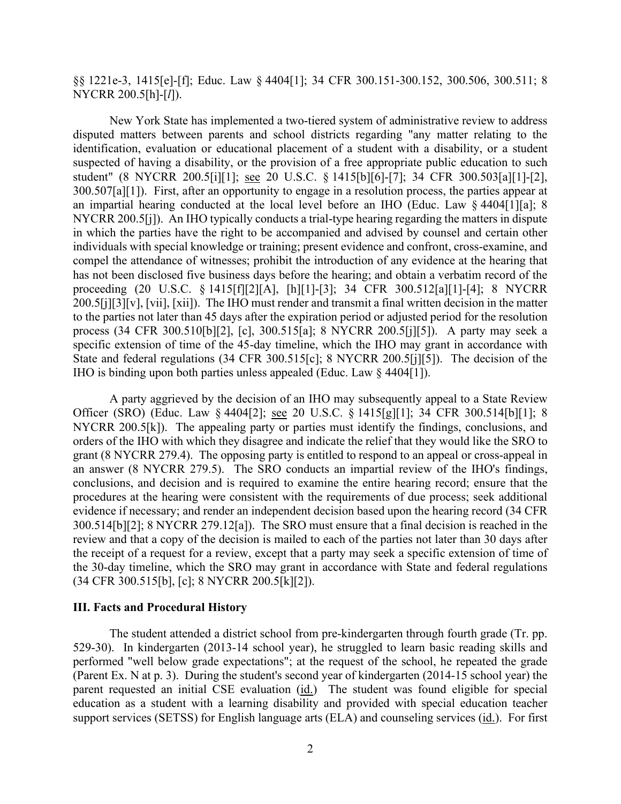§§ 1221e-3, 1415[e]-[f]; Educ. Law § 4404[1]; 34 CFR 300.151-300.152, 300.506, 300.511; 8 NYCRR 200.5[h]-[*l*]).

 disputed matters between parents and school districts regarding "any matter relating to the 300.507[a][1]). First, after an opportunity to engage in a resolution process, the parties appear at NYCRR 200.5[j]). An IHO typically conducts a trial-type hearing regarding the matters in dispute process (34 CFR 300.510[b][2], [c], 300.515[a]; 8 NYCRR 200.5[j][5]). A party may seek a IHO is binding upon both parties unless appealed (Educ. Law § 4404[1]). New York State has implemented a two-tiered system of administrative review to address identification, evaluation or educational placement of a student with a disability, or a student suspected of having a disability, or the provision of a free appropriate public education to such student" (8 NYCRR 200.5[i][1]; see 20 U.S.C. § 1415[b][6]-[7]; 34 CFR 300.503[a][1]-[2], an impartial hearing conducted at the local level before an IHO (Educ. Law § 4404[1][a]; 8 in which the parties have the right to be accompanied and advised by counsel and certain other individuals with special knowledge or training; present evidence and confront, cross-examine, and compel the attendance of witnesses; prohibit the introduction of any evidence at the hearing that has not been disclosed five business days before the hearing; and obtain a verbatim record of the proceeding (20 U.S.C. § 1415[f][2][A], [h][1]-[3]; 34 CFR 300.512[a][1]-[4]; 8 NYCRR 200.5[j][3][v], [vii], [xii]). The IHO must render and transmit a final written decision in the matter to the parties not later than 45 days after the expiration period or adjusted period for the resolution specific extension of time of the 45-day timeline, which the IHO may grant in accordance with State and federal regulations (34 CFR 300.515[c]; 8 NYCRR 200.5[j][5]). The decision of the

Officer (SRO) (Educ. Law § 4404[2]; <u>see</u> 20 U.S.C. § 1415[g][1]; 34 CFR 300.514[b][1]; 8 NYCRR 200.5[k]). The appealing party or parties must identify the findings, conclusions, and 300.514[b][2]; 8 NYCRR 279.12[a]). The SRO must ensure that a final decision is reached in the review and that a copy of the decision is mailed to each of the parties not later than 30 days after A party aggrieved by the decision of an IHO may subsequently appeal to a State Review orders of the IHO with which they disagree and indicate the relief that they would like the SRO to grant (8 NYCRR 279.4). The opposing party is entitled to respond to an appeal or cross-appeal in an answer (8 NYCRR 279.5). The SRO conducts an impartial review of the IHO's findings, conclusions, and decision and is required to examine the entire hearing record; ensure that the procedures at the hearing were consistent with the requirements of due process; seek additional evidence if necessary; and render an independent decision based upon the hearing record (34 CFR the receipt of a request for a review, except that a party may seek a specific extension of time of the 30-day timeline, which the SRO may grant in accordance with State and federal regulations (34 CFR 300.515[b], [c]; 8 NYCRR 200.5[k][2]).

#### **III. Facts and Procedural History**

 529-30). In kindergarten (2013-14 school year), he struggled to learn basic reading skills and parent requested an initial CSE evaluation (*id.*) The student was found eligible for special support services (SETSS) for English language arts (ELA) and counseling services (id.). For first The student attended a district school from pre-kindergarten through fourth grade (Tr. pp. performed "well below grade expectations"; at the request of the school, he repeated the grade (Parent Ex. N at p. 3). During the student's second year of kindergarten (2014-15 school year) the education as a student with a learning disability and provided with special education teacher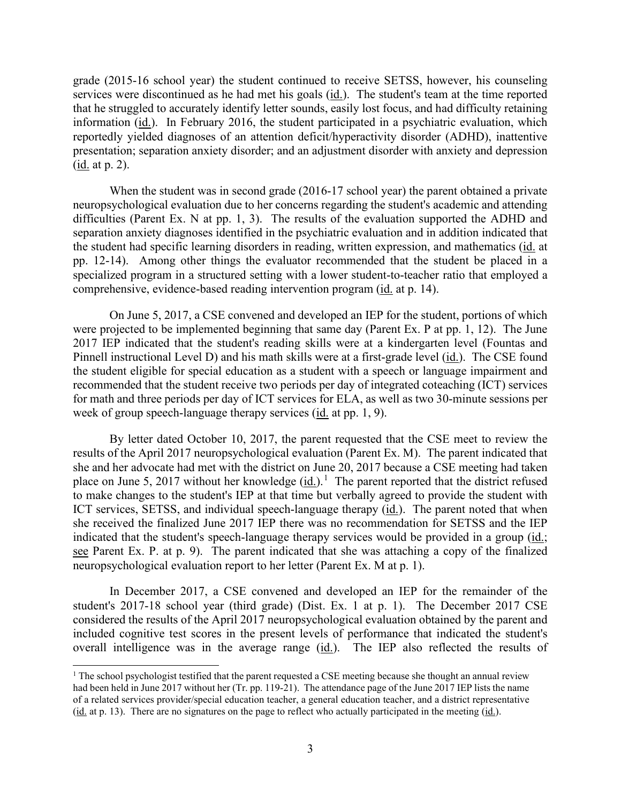$(i$ <u>d.</u> at p. 2). grade (2015-16 school year) the student continued to receive SETSS, however, his counseling services were discontinued as he had met his goals (id.). The student's team at the time reported that he struggled to accurately identify letter sounds, easily lost focus, and had difficulty retaining information (id.). In February 2016, the student participated in a psychiatric evaluation, which reportedly yielded diagnoses of an attention deficit/hyperactivity disorder (ADHD), inattentive presentation; separation anxiety disorder; and an adjustment disorder with anxiety and depression

 When the student was in second grade (2016-17 school year) the parent obtained a private difficulties (Parent Ex. N at pp. 1, 3). The results of the evaluation supported the ADHD and comprehensive, evidence-based reading intervention program (id. at p. 14). neuropsychological evaluation due to her concerns regarding the student's academic and attending separation anxiety diagnoses identified in the psychiatric evaluation and in addition indicated that the student had specific learning disorders in reading, written expression, and mathematics (id. at pp. 12-14). Among other things the evaluator recommended that the student be placed in a specialized program in a structured setting with a lower student-to-teacher ratio that employed a

 were projected to be implemented beginning that same day (Parent Ex. P at pp. 1, 12). The June Pinnell instructional Level D) and his math skills were at a first-grade level (id.). The CSE found week of group speech-language therapy services (id. at pp. 1, 9). On June 5, 2017, a CSE convened and developed an IEP for the student, portions of which 2017 IEP indicated that the student's reading skills were at a kindergarten level (Fountas and the student eligible for special education as a student with a speech or language impairment and recommended that the student receive two periods per day of integrated coteaching (ICT) services for math and three periods per day of ICT services for ELA, as well as two 30-minute sessions per

place on June 5, 20[1](#page-2-0)7 without her knowledge  $(id.)$ <sup>1</sup> The parent reported that the district refused By letter dated October 10, 2017, the parent requested that the CSE meet to review the results of the April 2017 neuropsychological evaluation (Parent Ex. M). The parent indicated that she and her advocate had met with the district on June 20, 2017 because a CSE meeting had taken to make changes to the student's IEP at that time but verbally agreed to provide the student with ICT services, SETSS, and individual speech-language therapy (id.). The parent noted that when she received the finalized June 2017 IEP there was no recommendation for SETSS and the IEP indicated that the student's speech-language therapy services would be provided in a group (id.; see Parent Ex. P. at p. 9). The parent indicated that she was attaching a copy of the finalized neuropsychological evaluation report to her letter (Parent Ex. M at p. 1).

overall intelligence was in the average range (id.). The IEP also reflected the results of In December 2017, a CSE convened and developed an IEP for the remainder of the student's 2017-18 school year (third grade) (Dist. Ex. 1 at p. 1). The December 2017 CSE considered the results of the April 2017 neuropsychological evaluation obtained by the parent and included cognitive test scores in the present levels of performance that indicated the student's

<span id="page-2-0"></span> had been held in June 2017 without her (Tr. pp. 119-21). The attendance page of the June 2017 IEP lists the name (id. at p. 13). There are no signatures on the page to reflect who actually participated in the meeting  $(id)$ . <sup>1</sup> The school psychologist testified that the parent requested a CSE meeting because she thought an annual review of a related services provider/special education teacher, a general education teacher, and a district representative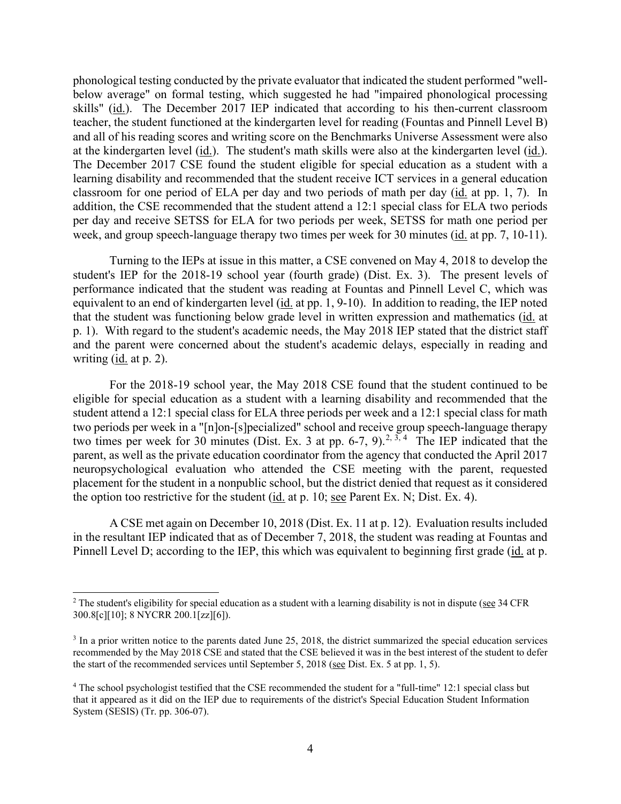at the kindergarten level (<u>id.</u>). The student's math skills were also at the kindergarten level (<u>id.</u>). The December 2017 CSE found the student eligible for special education as a student with a phonological testing conducted by the private evaluator that indicated the student performed "wellbelow average" on formal testing, which suggested he had "impaired phonological processing skills" (id.). The December 2017 IEP indicated that according to his then-current classroom teacher, the student functioned at the kindergarten level for reading (Fountas and Pinnell Level B) and all of his reading scores and writing score on the Benchmarks Universe Assessment were also learning disability and recommended that the student receive ICT services in a general education classroom for one period of ELA per day and two periods of math per day (id. at pp. 1, 7). In addition, the CSE recommended that the student attend a 12:1 special class for ELA two periods per day and receive SETSS for ELA for two periods per week, SETSS for math one period per week, and group speech-language therapy two times per week for 30 minutes (id. at pp. 7, 10-11).

equivalent to an end of kindergarten level (*id.* at pp. 1, 9-10). In addition to reading, the IEP noted that the student was functioning below grade level in written expression and mathematics (id. at p. 1). With regard to the student's academic needs, the May 2018 IEP stated that the district staff and the parent were concerned about the student's academic delays, especially in reading and writing (<u>id.</u> at p. 2). Turning to the IEPs at issue in this matter, a CSE convened on May 4, 2018 to develop the student's IEP for the 2018-19 school year (fourth grade) (Dist. Ex. 3). The present levels of performance indicated that the student was reading at Fountas and Pinnell Level C, which was

 student attend a 12:1 special class for ELA three periods per week and a 12:1 special class for math two times per week for 30 minutes (Dist. Ex. 3 at pp. 6-7, 9).<sup>[2,](#page-3-0) [3](#page-3-1), 4</sup> The IEP indicated that the the option too restrictive for the student ( $\underline{\text{id}}$  at p. 10; <u>see</u> Parent Ex. N; Dist. Ex. 4). For the 2018-19 school year, the May 2018 CSE found that the student continued to be eligible for special education as a student with a learning disability and recommended that the two periods per week in a "[n]on-[s]pecialized" school and receive group speech-language therapy parent, as well as the private education coordinator from the agency that conducted the April 2017 neuropsychological evaluation who attended the CSE meeting with the parent, requested placement for the student in a nonpublic school, but the district denied that request as it considered

Pinnell Level D; according to the IEP, this which was equivalent to beginning first grade (id. at p. A CSE met again on December 10, 2018 (Dist. Ex. 11 at p. 12). Evaluation results included in the resultant IEP indicated that as of December 7, 2018, the student was reading at Fountas and

<span id="page-3-0"></span> $<sup>2</sup>$  The student's eligibility for special education as a student with a learning disability is not in dispute (see 34 CFR)</sup> 300.8[c][10]; 8 NYCRR 200.1[zz][6]).

<span id="page-3-1"></span>the start of the recommended services until September 5, 2018 (see Dist. Ex. 5 at pp. 1, 5). <sup>3</sup> In a prior written notice to the parents dated June 25, 2018, the district summarized the special education services recommended by the May 2018 CSE and stated that the CSE believed it was in the best interest of the student to defer

<span id="page-3-2"></span><sup>&</sup>lt;sup>4</sup> The school psychologist testified that the CSE recommended the student for a "full-time" 12:1 special class but that it appeared as it did on the IEP due to requirements of the district's Special Education Student Information System (SESIS) (Tr. pp. 306-07).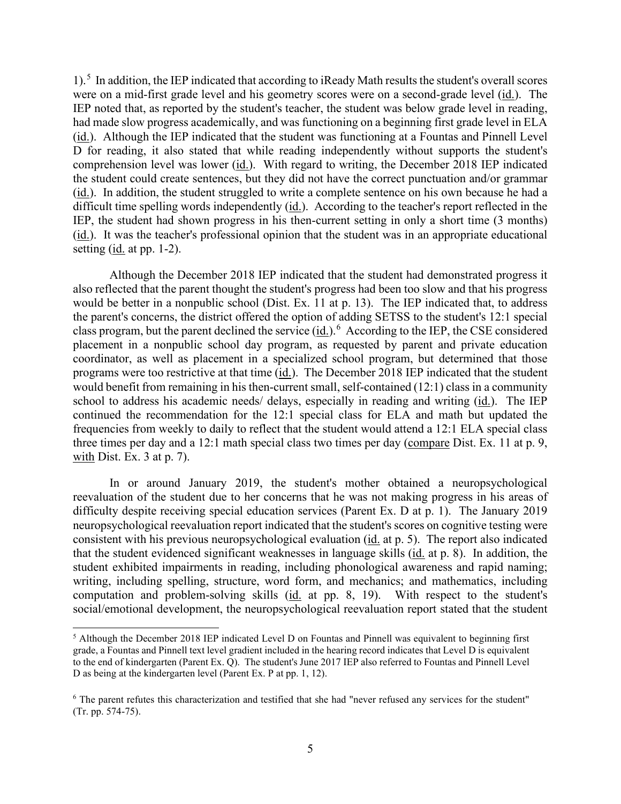1).<sup>5</sup> In addition, the IEP indicated that according to iReady Math results the student's overall scores were on a mid-first grade level and his geometry scores were on a second-grade level (id.). The had made slow progress academically, and was functioning on a beginning first grade level in ELA (id.). Although the IEP indicated that the student was functioning at a Fountas and Pinnell Level comprehension level was lower (id.). With regard to writing, the December 2018 IEP indicated setting  $(id.$  at pp. 1-2). IEP noted that, as reported by the student's teacher, the student was below grade level in reading, D for reading, it also stated that while reading independently without supports the student's the student could create sentences, but they did not have the correct punctuation and/or grammar (id.). In addition, the student struggled to write a complete sentence on his own because he had a difficult time spelling words independently (id.). According to the teacher's report reflected in the IEP, the student had shown progress in his then-current setting in only a short time (3 months) (id.). It was the teacher's professional opinion that the student was in an appropriate educational

 would be better in a nonpublic school (Dist. Ex. 11 at p. 13). The IEP indicated that, to address class program, but the parent declined the service (id.).<sup>6</sup> According to the IEP, the CSE considered coordinator, as well as placement in a specialized school program, but determined that those would benefit from remaining in his then-current small, self-contained (12:1) class in a community school to address his academic needs/ delays, especially in reading and writing (id.). The IEP frequencies from weekly to daily to reflect that the student would attend a 12:1 ELA special class Although the December 2018 IEP indicated that the student had demonstrated progress it also reflected that the parent thought the student's progress had been too slow and that his progress the parent's concerns, the district offered the option of adding SETSS to the student's 12:1 special placement in a nonpublic school day program, as requested by parent and private education programs were too restrictive at that time  $(i_d)$ . The December 2018 IEP indicated that the student continued the recommendation for the 12:1 special class for ELA and math but updated the three times per day and a 12:1 math special class two times per day (compare Dist. Ex. 11 at p. 9, with Dist. Ex. 3 at p. 7).

 In or around January 2019, the student's mother obtained a neuropsychological difficulty despite receiving special education services (Parent Ex. D at p. 1). The January 2019 consistent with his previous neuropsychological evaluation (id. at p. 5). The report also indicated that the student evidenced significant weaknesses in language skills (id. at p. 8). In addition, the reevaluation of the student due to her concerns that he was not making progress in his areas of neuropsychological reevaluation report indicated that the student's scores on cognitive testing were student exhibited impairments in reading, including phonological awareness and rapid naming; writing, including spelling, structure, word form, and mechanics; and mathematics, including computation and problem-solving skills (id. at pp. 8, 19). With respect to the student's social/emotional development, the neuropsychological reevaluation report stated that the student

<span id="page-4-0"></span> to the end of kindergarten (Parent Ex. Q). The student's June 2017 IEP also referred to Fountas and Pinnell Level D as being at the kindergarten level (Parent Ex. P at pp. 1, 12). 5 Although the December 2018 IEP indicated Level D on Fountas and Pinnell was equivalent to beginning first grade, a Fountas and Pinnell text level gradient included in the hearing record indicates that Level D is equivalent

<span id="page-4-1"></span><sup>&</sup>lt;sup>6</sup> The parent refutes this characterization and testified that she had "never refused any services for the student" (Tr. pp. 574-75).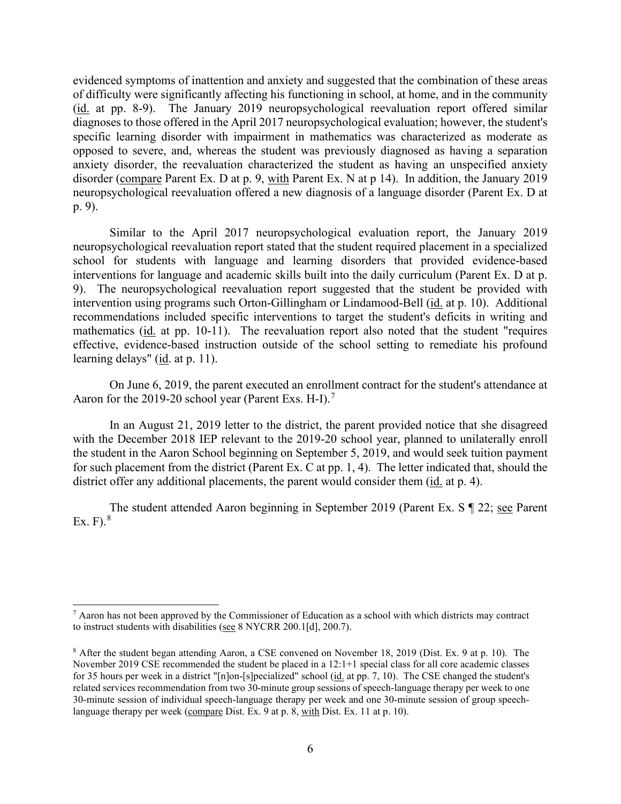disorder (compare Parent Ex. D at p. 9, with Parent Ex. N at p 14). In addition, the January 2019 neuropsychological reevaluation offered a new diagnosis of a language disorder (Parent Ex. D at evidenced symptoms of inattention and anxiety and suggested that the combination of these areas of difficulty were significantly affecting his functioning in school, at home, and in the community (id. at pp. 8-9). The January 2019 neuropsychological reevaluation report offered similar diagnoses to those offered in the April 2017 neuropsychological evaluation; however, the student's specific learning disorder with impairment in mathematics was characterized as moderate as opposed to severe, and, whereas the student was previously diagnosed as having a separation anxiety disorder, the reevaluation characterized the student as having an unspecified anxiety p. 9).

intervention using programs such Orton-Gillingham or Lindamood-Bell (id. at p. 10). Additional recommendations included specific interventions to target the student's deficits in writing and learning delays" (*id.* at p. 11). Similar to the April 2017 neuropsychological evaluation report, the January 2019 neuropsychological reevaluation report stated that the student required placement in a specialized school for students with language and learning disorders that provided evidence-based interventions for language and academic skills built into the daily curriculum (Parent Ex. D at p. 9). The neuropsychological reevaluation report suggested that the student be provided with mathematics (id. at pp. 10-11). The reevaluation report also noted that the student "requires effective, evidence-based instruction outside of the school setting to remediate his profound

Aaron for the 2019-20 school year (Parent Exs. H-I).<sup>[7](#page-5-0)</sup> On June 6, 2019, the parent executed an enrollment contract for the student's attendance at

district offer any additional placements, the parent would consider them (id. at p. 4). In an August 21, 2019 letter to the district, the parent provided notice that she disagreed with the December 2018 IEP relevant to the 2019-20 school year, planned to unilaterally enroll the student in the Aaron School beginning on September 5, 2019, and would seek tuition payment for such placement from the district (Parent Ex. C at pp. 1, 4). The letter indicated that, should the

The student attended Aaron beginning in September 2019 (Parent Ex. S ¶ 22; see Parent Ex.  $F$ ).<sup>8</sup>

<span id="page-5-0"></span> $7$  Aaron has not been approved by the Commissioner of Education as a school with which districts may contract to instruct students with disabilities (see 8 NYCRR 200.1[d], 200.7).

<span id="page-5-1"></span> $8$  After the student began attending Aaron, a CSE convened on November 18, 2019 (Dist. Ex. 9 at p. 10). The for 35 hours per week in a district "[n]on-[s]pecialized" school (id. at pp. 7, 10). The CSE changed the student's November 2019 CSE recommended the student be placed in a 12:1+1 special class for all core academic classes related services recommendation from two 30-minute group sessions of speech-language therapy per week to one 30-minute session of individual speech-language therapy per week and one 30-minute session of group speechlanguage therapy per week (compare Dist. Ex. 9 at p. 8, with Dist. Ex. 11 at p. 10).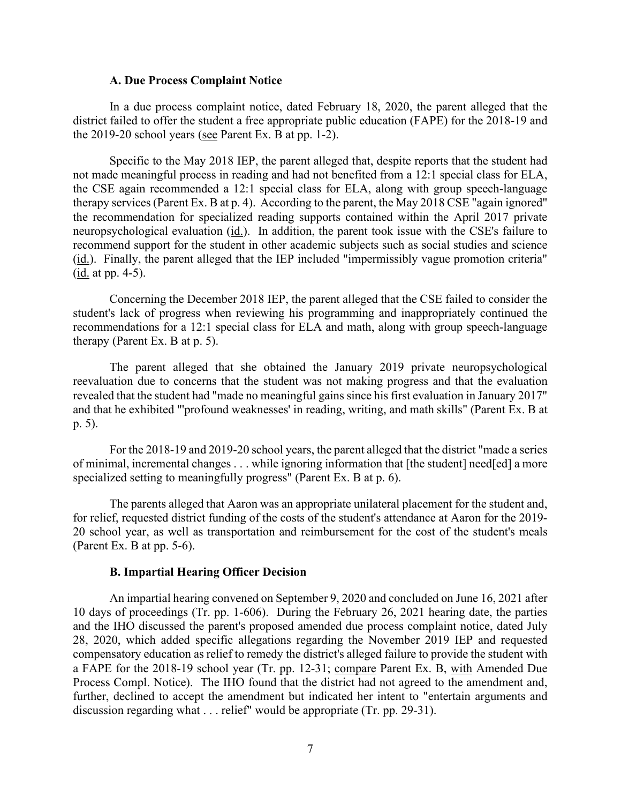#### **A. Due Process Complaint Notice**

the 2019-20 school years (see Parent Ex. B at pp. 1-2). In a due process complaint notice, dated February 18, 2020, the parent alleged that the district failed to offer the student a free appropriate public education (FAPE) for the 2018-19 and

 Specific to the May 2018 IEP, the parent alleged that, despite reports that the student had the recommendation for specialized reading supports contained within the April 2017 private neuropsychological evaluation (*id.*). In addition, the parent took issue with the CSE's failure to  $(\underline{\text{id}}. \text{ at pp. } 4-5).$ not made meaningful process in reading and had not benefited from a 12:1 special class for ELA, the CSE again recommended a 12:1 special class for ELA, along with group speech-language therapy services (Parent Ex. B at p. 4). According to the parent, the May 2018 CSE "again ignored" recommend support for the student in other academic subjects such as social studies and science (id.). Finally, the parent alleged that the IEP included "impermissibly vague promotion criteria"

 student's lack of progress when reviewing his programming and inappropriately continued the therapy (Parent Ex. B at p. 5). Concerning the December 2018 IEP, the parent alleged that the CSE failed to consider the recommendations for a 12:1 special class for ELA and math, along with group speech-language

 The parent alleged that she obtained the January 2019 private neuropsychological and that he exhibited "'profound weaknesses' in reading, writing, and math skills" (Parent Ex. B at reevaluation due to concerns that the student was not making progress and that the evaluation revealed that the student had "made no meaningful gains since his first evaluation in January 2017" p. 5).

 of minimal, incremental changes . . . while ignoring information that [the student] need[ed] a more For the 2018-19 and 2019-20 school years, the parent alleged that the district "made a series specialized setting to meaningfully progress" (Parent Ex. B at p. 6).

 (Parent Ex. B at pp. 5-6). The parents alleged that Aaron was an appropriate unilateral placement for the student and, for relief, requested district funding of the costs of the student's attendance at Aaron for the 2019- 20 school year, as well as transportation and reimbursement for the cost of the student's meals

#### **B. Impartial Hearing Officer Decision**

 10 days of proceedings (Tr. pp. 1-606). During the February 26, 2021 hearing date, the parties 28, 2020, which added specific allegations regarding the November 2019 IEP and requested Process Compl. Notice). The IHO found that the district had not agreed to the amendment and, discussion regarding what . . . relief" would be appropriate (Tr. pp. 29-31). An impartial hearing convened on September 9, 2020 and concluded on June 16, 2021 after and the IHO discussed the parent's proposed amended due process complaint notice, dated July compensatory education as relief to remedy the district's alleged failure to provide the student with a FAPE for the 2018-19 school year (Tr. pp. 12-31; compare Parent Ex. B, with Amended Due further, declined to accept the amendment but indicated her intent to "entertain arguments and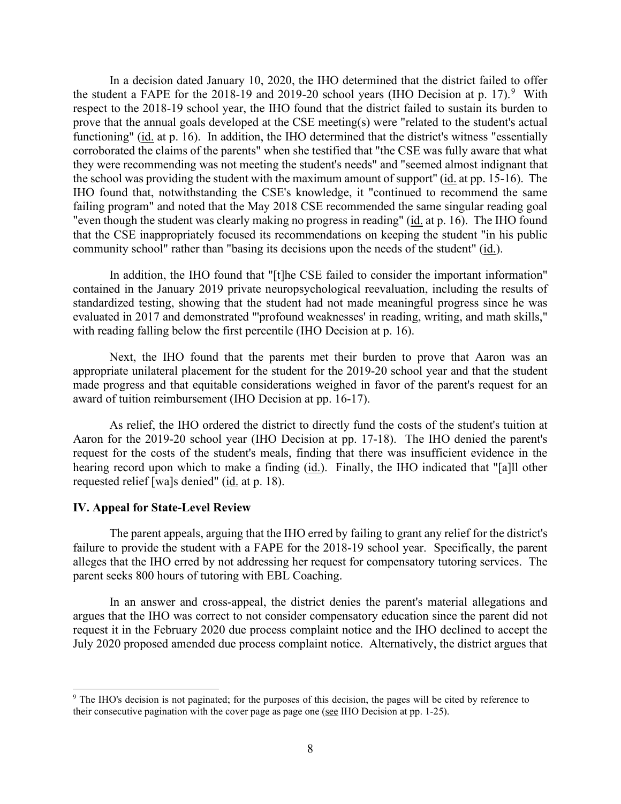the student a FAPE for the 2018-1[9](#page-7-0) and 2019-20 school years (IHO Decision at p. 17).<sup>9</sup> With the school was providing the student with the maximum amount of support" (id. at pp. 15-16). The In a decision dated January 10, 2020, the IHO determined that the district failed to offer respect to the 2018-19 school year, the IHO found that the district failed to sustain its burden to prove that the annual goals developed at the CSE meeting(s) were "related to the student's actual functioning" (id. at p. 16). In addition, the IHO determined that the district's witness "essentially corroborated the claims of the parents" when she testified that "the CSE was fully aware that what they were recommending was not meeting the student's needs" and "seemed almost indignant that IHO found that, notwithstanding the CSE's knowledge, it "continued to recommend the same failing program" and noted that the May 2018 CSE recommended the same singular reading goal "even though the student was clearly making no progress in reading" (id. at p. 16). The IHO found that the CSE inappropriately focused its recommendations on keeping the student "in his public community school" rather than "basing its decisions upon the needs of the student" (id.).

In addition, the IHO found that "[t]he CSE failed to consider the important information" contained in the January 2019 private neuropsychological reevaluation, including the results of standardized testing, showing that the student had not made meaningful progress since he was evaluated in 2017 and demonstrated "'profound weaknesses' in reading, writing, and math skills," with reading falling below the first percentile (IHO Decision at p. 16).

 Next, the IHO found that the parents met their burden to prove that Aaron was an appropriate unilateral placement for the student for the 2019-20 school year and that the student made progress and that equitable considerations weighed in favor of the parent's request for an award of tuition reimbursement (IHO Decision at pp. 16-17).

 Aaron for the 2019-20 school year (IHO Decision at pp. 17-18). The IHO denied the parent's request for the costs of the student's meals, finding that there was insufficient evidence in the hearing record upon which to make a finding (id.). Finally, the IHO indicated that "[a]ll other requested relief [wa]s denied" (id. at p. 18). As relief, the IHO ordered the district to directly fund the costs of the student's tuition at

#### **IV. Appeal for State-Level Review**

 The parent appeals, arguing that the IHO erred by failing to grant any relief for the district's failure to provide the student with a FAPE for the 2018-19 school year. Specifically, the parent alleges that the IHO erred by not addressing her request for compensatory tutoring services. The parent seeks 800 hours of tutoring with EBL Coaching.

 request it in the February 2020 due process complaint notice and the IHO declined to accept the In an answer and cross-appeal, the district denies the parent's material allegations and argues that the IHO was correct to not consider compensatory education since the parent did not July 2020 proposed amended due process complaint notice. Alternatively, the district argues that

<span id="page-7-0"></span><sup>&</sup>lt;sup>9</sup> The IHO's decision is not paginated; for the purposes of this decision, the pages will be cited by reference to their consecutive pagination with the cover page as page one (see IHO Decision at pp. 1-25).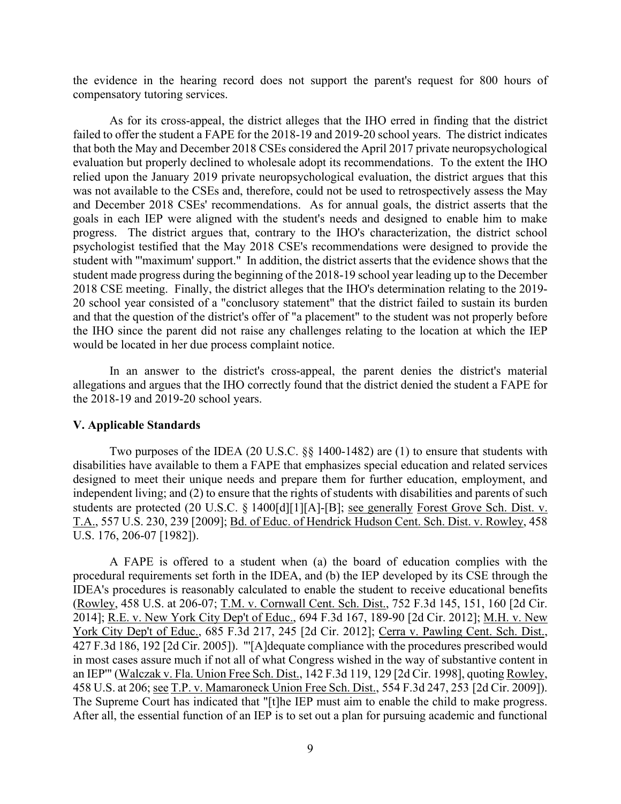the evidence in the hearing record does not support the parent's request for 800 hours of compensatory tutoring services.

 evaluation but properly declined to wholesale adopt its recommendations. To the extent the IHO goals in each IEP were aligned with the student's needs and designed to enable him to make progress. The district argues that, contrary to the IHO's characterization, the district school 2018 CSE meeting. Finally, the district alleges that the IHO's determination relating to the 2019- As for its cross-appeal, the district alleges that the IHO erred in finding that the district failed to offer the student a FAPE for the 2018-19 and 2019-20 school years. The district indicates that both the May and December 2018 CSEs considered the April 2017 private neuropsychological relied upon the January 2019 private neuropsychological evaluation, the district argues that this was not available to the CSEs and, therefore, could not be used to retrospectively assess the May and December 2018 CSEs' recommendations. As for annual goals, the district asserts that the psychologist testified that the May 2018 CSE's recommendations were designed to provide the student with "'maximum' support." In addition, the district asserts that the evidence shows that the student made progress during the beginning of the 2018-19 school year leading up to the December 20 school year consisted of a "conclusory statement" that the district failed to sustain its burden and that the question of the district's offer of "a placement" to the student was not properly before the IHO since the parent did not raise any challenges relating to the location at which the IEP would be located in her due process complaint notice.

 allegations and argues that the IHO correctly found that the district denied the student a FAPE for In an answer to the district's cross-appeal, the parent denies the district's material the 2018-19 and 2019-20 school years.

#### **V. Applicable Standards**

Two purposes of the IDEA (20 U.S.C. §§ 1400-1482) are (1) to ensure that students with disabilities have available to them a FAPE that emphasizes special education and related services designed to meet their unique needs and prepare them for further education, employment, and independent living; and (2) to ensure that the rights of students with disabilities and parents of such students are protected (20 U.S.C. § 1400[d][1][A]-[B]; see generally Forest Grove Sch. Dist. v. T.A., 557 U.S. 230, 239 [2009]; Bd. of Educ. of Hendrick Hudson Cent. Sch. Dist. v. Rowley, 458 U.S. 176, 206-07 [1982]).

 A FAPE is offered to a student when (a) the board of education complies with the 2014]; <u>R.E. v. New York City Dep't of Educ.</u>, 694 F.3d 167, 189-90 [2d Cir. 2012]; <u>M.H. v. New</u> 458 U.S. at 206; see T.P. v. Mamaroneck Union Free Sch. Dist., 554 F.3d 247, 253 [2d Cir. 2009]). The Supreme Court has indicated that "[t]he IEP must aim to enable the child to make progress. procedural requirements set forth in the IDEA, and (b) the IEP developed by its CSE through the IDEA's procedures is reasonably calculated to enable the student to receive educational benefits (Rowley, 458 U.S. at 206-07; T.M. v. Cornwall Cent. Sch. Dist., 752 F.3d 145, 151, 160 [2d Cir. York City Dep't of Educ., 685 F.3d 217, 245 [2d Cir. 2012]; Cerra v. Pawling Cent. Sch. Dist., 427 F.3d 186, 192 [2d Cir. 2005]). "'[A]dequate compliance with the procedures prescribed would in most cases assure much if not all of what Congress wished in the way of substantive content in an IEP'" (Walczak v. Fla. Union Free Sch. Dist., 142 F.3d 119, 129 [2d Cir. 1998], quoting Rowley, After all, the essential function of an IEP is to set out a plan for pursuing academic and functional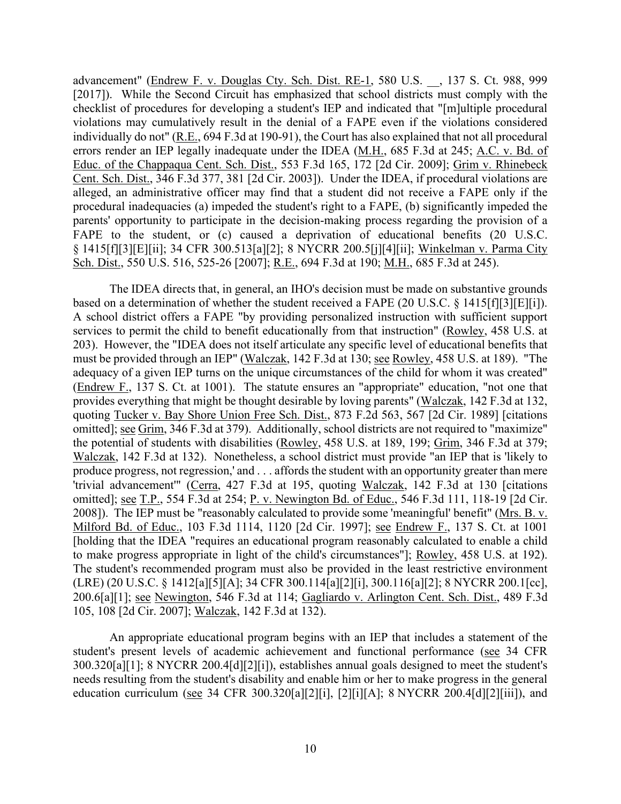errors render an IEP legally inadequate under the IDEA (M.H., 685 F.3d at 245; A.C. v. Bd. of parents' opportunity to participate in the decision-making process regarding the provision of a advancement" (Endrew F. v. Douglas Cty. Sch. Dist. RE-1, 580 U.S. \_\_, 137 S. Ct. 988, 999 [2017]). While the Second Circuit has emphasized that school districts must comply with the checklist of procedures for developing a student's IEP and indicated that "[m]ultiple procedural violations may cumulatively result in the denial of a FAPE even if the violations considered individually do not" (R.E., 694 F.3d at 190-91), the Court has also explained that not all procedural Educ. of the Chappaqua Cent. Sch. Dist., 553 F.3d 165, 172 [2d Cir. 2009]; Grim v. Rhinebeck Cent. Sch. Dist., 346 F.3d 377, 381 [2d Cir. 2003]). Under the IDEA, if procedural violations are alleged, an administrative officer may find that a student did not receive a FAPE only if the procedural inadequacies (a) impeded the student's right to a FAPE, (b) significantly impeded the FAPE to the student, or (c) caused a deprivation of educational benefits (20 U.S.C. § 1415[f][3][E][ii]; 34 CFR 300.513[a][2]; 8 NYCRR 200.5[j][4][ii]; Winkelman v. Parma City Sch. Dist., 550 U.S. 516, 525-26 [2007]; R.E., 694 F.3d at 190; M.H., 685 F.3d at 245).

based on a determination of whether the student received a FAPE (20 U.S.C. § 1415 [f][3] [E][i]). adequacy of a given IEP turns on the unique circumstances of the child for whom it was created" produce progress, not regression,' and . . . affords the student with an opportunity greater than mere 200.6[a][1]; see Newington, 546 F.3d at 114; Gagliardo v. Arlington Cent. Sch. Dist., 489 F.3d The IDEA directs that, in general, an IHO's decision must be made on substantive grounds A school district offers a FAPE "by providing personalized instruction with sufficient support services to permit the child to benefit educationally from that instruction" (Rowley, 458 U.S. at 203). However, the "IDEA does not itself articulate any specific level of educational benefits that must be provided through an IEP" (Walczak, 142 F.3d at 130; see Rowley, 458 U.S. at 189). "The (Endrew F., 137 S. Ct. at 1001). The statute ensures an "appropriate" education, "not one that provides everything that might be thought desirable by loving parents" (Walczak, 142 F.3d at 132, quoting Tucker v. Bay Shore Union Free Sch. Dist., 873 F.2d 563, 567 [2d Cir. 1989] [citations omitted]; see Grim, 346 F.3d at 379). Additionally, school districts are not required to "maximize" the potential of students with disabilities (Rowley, 458 U.S. at 189, 199; Grim, 346 F.3d at 379; Walczak, 142 F.3d at 132). Nonetheless, a school district must provide "an IEP that is 'likely to 'trivial advancement'" (Cerra, 427 F.3d at 195, quoting Walczak, 142 F.3d at 130 [citations omitted]; see T.P., 554 F.3d at 254; P. v. Newington Bd. of Educ., 546 F.3d 111, 118-19 [2d Cir. 2008]). The IEP must be "reasonably calculated to provide some 'meaningful' benefit" (Mrs. B. v. Milford Bd. of Educ., 103 F.3d 1114, 1120 [2d Cir. 1997]; see Endrew F., 137 S. Ct. at 1001 [holding that the IDEA "requires an educational program reasonably calculated to enable a child to make progress appropriate in light of the child's circumstances"]; Rowley, 458 U.S. at 192). The student's recommended program must also be provided in the least restrictive environment (LRE) (20 U.S.C. § 1412[a][5][A]; 34 CFR 300.114[a][2][i], 300.116[a][2]; 8 NYCRR 200.1[cc], 105, 108 [2d Cir. 2007]; Walczak, 142 F.3d at 132).

An appropriate educational program begins with an IEP that includes a statement of the student's present levels of academic achievement and functional performance (see 34 CFR 300.320[a][1]; 8 NYCRR 200.4[d][2][i]), establishes annual goals designed to meet the student's needs resulting from the student's disability and enable him or her to make progress in the general education curriculum (see 34 CFR 300.320[a][2][i], [2][i][A]; 8 NYCRR 200.4[d][2][iii]), and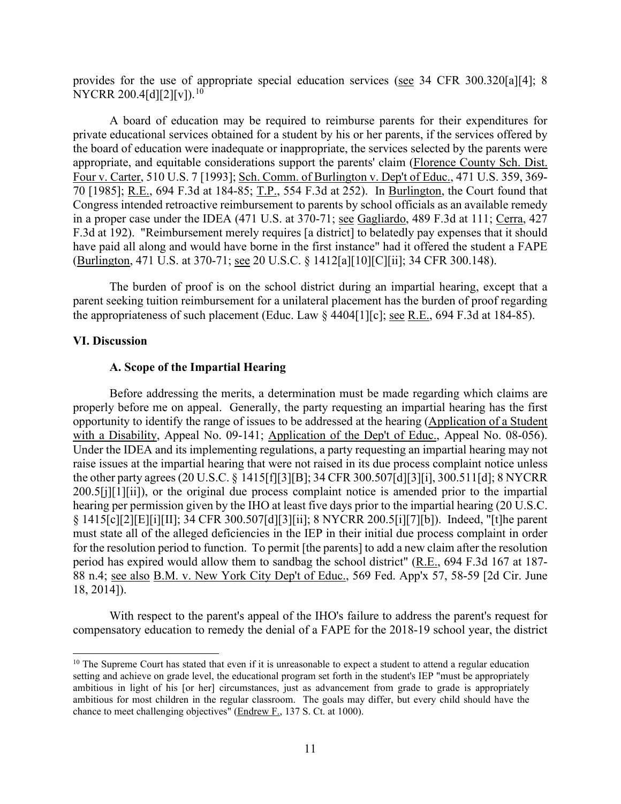provides for the use of appropriate special education services (see 34 CFR 300.320[a][4]; 8 NYCRR 200.4[d][2][v]).<sup>[10](#page-10-0)</sup>

70 [1985]; R.E., 694 F.3d at 184-85; T.P., 554 F.3d at 252). In Burlington, the Court found that in a proper case under the IDEA (471 U.S. at 370-71; see Gagliardo, 489 F.3d at 111; Cerra, 427 (Burlington, 471 U.S. at 370-71; <u>see</u> 20 U.S.C. § 1412[a][10][C][ii]; 34 CFR 300.148). A board of education may be required to reimburse parents for their expenditures for private educational services obtained for a student by his or her parents, if the services offered by the board of education were inadequate or inappropriate, the services selected by the parents were appropriate, and equitable considerations support the parents' claim (Florence County Sch. Dist. Four v. Carter, 510 U.S. 7 [1993]; Sch. Comm. of Burlington v. Dep't of Educ., 471 U.S. 359, 369- Congress intended retroactive reimbursement to parents by school officials as an available remedy F.3d at 192). "Reimbursement merely requires [a district] to belatedly pay expenses that it should have paid all along and would have borne in the first instance" had it offered the student a FAPE

the appropriateness of such placement (Educ. Law  $\S$  4404[1][c]; <u>see R.E.</u>, 694 F.3d at 184-85). The burden of proof is on the school district during an impartial hearing, except that a parent seeking tuition reimbursement for a unilateral placement has the burden of proof regarding

#### **VI. Discussion**

#### **A. Scope of the Impartial Hearing**

 properly before me on appeal. Generally, the party requesting an impartial hearing has the first with a Disability, Appeal No. 09-141; Application of the Dep't of Educ., Appeal No. 08-056). Before addressing the merits, a determination must be made regarding which claims are opportunity to identify the range of issues to be addressed at the hearing (Application of a Student Under the IDEA and its implementing regulations, a party requesting an impartial hearing may not raise issues at the impartial hearing that were not raised in its due process complaint notice unless the other party agrees (20 U.S.C. § 1415[f][3][B]; 34 CFR 300.507[d][3][i], 300.511[d]; 8 NYCRR 200.5[j][1][ii]), or the original due process complaint notice is amended prior to the impartial hearing per permission given by the IHO at least five days prior to the impartial hearing (20 U.S.C. § 1415[c][2][E][i][II]; 34 CFR 300.507[d][3][ii]; 8 NYCRR 200.5[i][7][b]). Indeed, "[t]he parent must state all of the alleged deficiencies in the IEP in their initial due process complaint in order for the resolution period to function. To permit [the parents] to add a new claim after the resolution period has expired would allow them to sandbag the school district" (R.E., 694 F.3d 167 at 187- 88 n.4; see also B.M. v. New York City Dep't of Educ., 569 Fed. App'x 57, 58-59 [2d Cir. June 18, 2014]).

With respect to the parent's appeal of the IHO's failure to address the parent's request for compensatory education to remedy the denial of a FAPE for the 2018-19 school year, the district

<span id="page-10-0"></span> ambitious in light of his [or her] circumstances, just as advancement from grade to grade is appropriately  $10$  The Supreme Court has stated that even if it is unreasonable to expect a student to attend a regular education setting and achieve on grade level, the educational program set forth in the student's IEP "must be appropriately ambitious for most children in the regular classroom. The goals may differ, but every child should have the chance to meet challenging objectives" (Endrew F., 137 S. Ct. at 1000).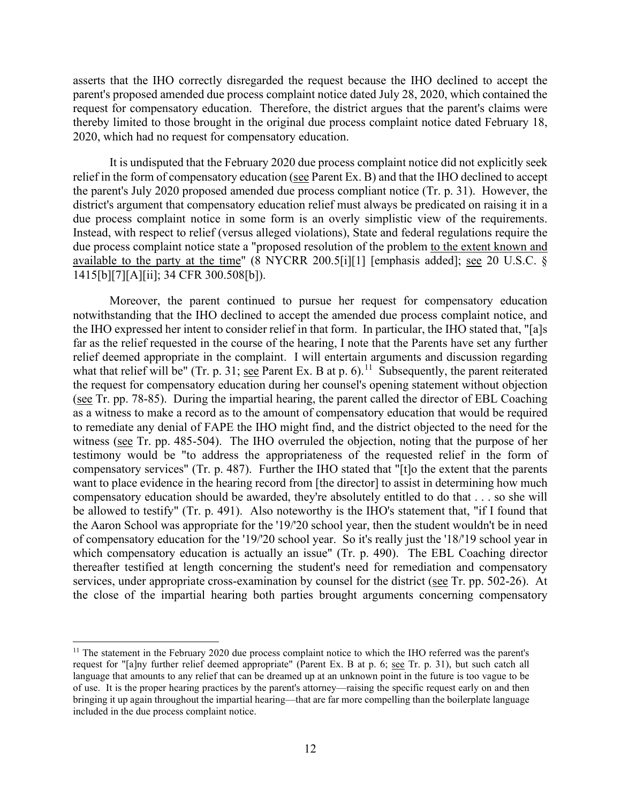asserts that the IHO correctly disregarded the request because the IHO declined to accept the parent's proposed amended due process complaint notice dated July 28, 2020, which contained the request for compensatory education. Therefore, the district argues that the parent's claims were thereby limited to those brought in the original due process complaint notice dated February 18, 2020, which had no request for compensatory education.

due process complaint notice in some form is an overly simplistic view of the requirements. It is undisputed that the February 2020 due process complaint notice did not explicitly seek relief in the form of compensatory education (see Parent Ex. B) and that the IHO declined to accept the parent's July 2020 proposed amended due process compliant notice (Tr. p. 31). However, the district's argument that compensatory education relief must always be predicated on raising it in a Instead, with respect to relief (versus alleged violations), State and federal regulations require the due process complaint notice state a "proposed resolution of the problem to the extent known and available to the party at the time" (8 NYCRR 200.5[i][1] [emphasis added]; see 20 U.S.C. § 1415[b][7][A][ii]; 34 CFR 300.508[b]).

what that relief will be" (Tr. p. 31; see Parent Ex. B at p. 6).<sup>11</sup> Subsequently, the parent reiterated (see Tr. pp. 78-85). During the impartial hearing, the parent called the director of EBL Coaching testimony would be "to address the appropriateness of the requested relief in the form of services, under appropriate cross-examination by counsel for the district (see Tr. pp. 502-26). At Moreover, the parent continued to pursue her request for compensatory education notwithstanding that the IHO declined to accept the amended due process complaint notice, and the IHO expressed her intent to consider relief in that form. In particular, the IHO stated that, "[a]s far as the relief requested in the course of the hearing, I note that the Parents have set any further relief deemed appropriate in the complaint. I will entertain arguments and discussion regarding the request for compensatory education during her counsel's opening statement without objection as a witness to make a record as to the amount of compensatory education that would be required to remediate any denial of FAPE the IHO might find, and the district objected to the need for the witness (see Tr. pp. 485-504). The IHO overruled the objection, noting that the purpose of her compensatory services" (Tr. p. 487). Further the IHO stated that "[t]o the extent that the parents want to place evidence in the hearing record from [the director] to assist in determining how much compensatory education should be awarded, they're absolutely entitled to do that . . . so she will be allowed to testify" (Tr. p. 491). Also noteworthy is the IHO's statement that, "if I found that the Aaron School was appropriate for the '19/'20 school year, then the student wouldn't be in need of compensatory education for the '19/'20 school year. So it's really just the '18/'19 school year in which compensatory education is actually an issue" (Tr. p. 490). The EBL Coaching director thereafter testified at length concerning the student's need for remediation and compensatory the close of the impartial hearing both parties brought arguments concerning compensatory

<span id="page-11-0"></span> request for "[a]ny further relief deemed appropriate" (Parent Ex. B at p. 6; see Tr. p. 31), but such catch all included in the due process complaint notice. <sup>11</sup> The statement in the February 2020 due process complaint notice to which the IHO referred was the parent's language that amounts to any relief that can be dreamed up at an unknown point in the future is too vague to be of use. It is the proper hearing practices by the parent's attorney—raising the specific request early on and then bringing it up again throughout the impartial hearing—that are far more compelling than the boilerplate language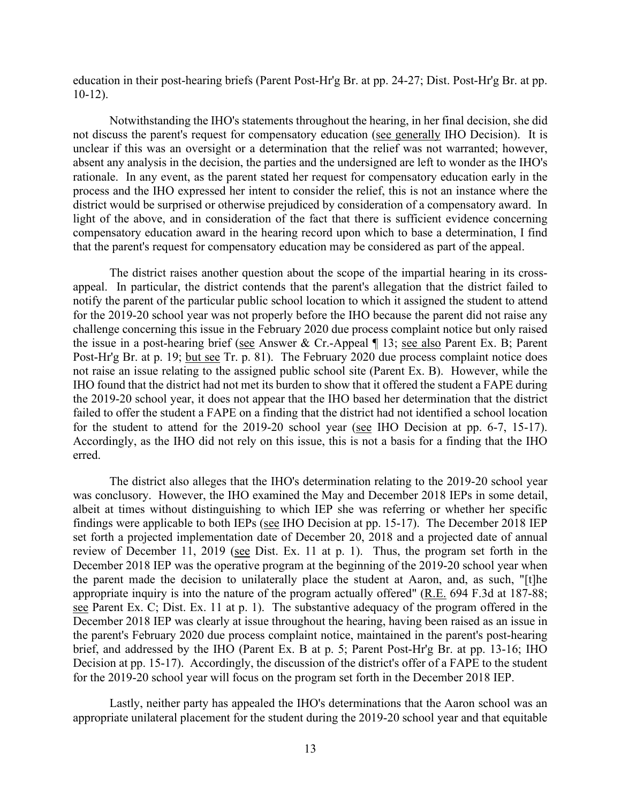education in their post-hearing briefs (Parent Post-Hr'g Br. at pp. 24-27; Dist. Post-Hr'g Br. at pp. 10-12).

not discuss the parent's request for compensatory education (see generally IHO Decision). It is district would be surprised or otherwise prejudiced by consideration of a compensatory award. In Notwithstanding the IHO's statements throughout the hearing, in her final decision, she did unclear if this was an oversight or a determination that the relief was not warranted; however, absent any analysis in the decision, the parties and the undersigned are left to wonder as the IHO's rationale. In any event, as the parent stated her request for compensatory education early in the process and the IHO expressed her intent to consider the relief, this is not an instance where the light of the above, and in consideration of the fact that there is sufficient evidence concerning compensatory education award in the hearing record upon which to base a determination, I find that the parent's request for compensatory education may be considered as part of the appeal.

Post-Hr'g Br. at p. 19; but see Tr. p. 81). The February 2020 due process complaint notice does for the student to attend for the 2019-20 school year (see IHO Decision at pp. 6-7, 15-17). for the student to attend for the 2019-20 school year (see IHO Decision at pp. 6-7, 15-17).<br>Accordingly, as the IHO did not rely on this issue, this is not a basis for a finding that the IHO The district raises another question about the scope of the impartial hearing in its crossappeal. In particular, the district contends that the parent's allegation that the district failed to notify the parent of the particular public school location to which it assigned the student to attend for the 2019-20 school year was not properly before the IHO because the parent did not raise any challenge concerning this issue in the February 2020 due process complaint notice but only raised the issue in a post-hearing brief (see Answer & Cr.-Appeal ¶ 13; see also Parent Ex. B; Parent not raise an issue relating to the assigned public school site (Parent Ex. B). However, while the IHO found that the district had not met its burden to show that it offered the student a FAPE during the 2019-20 school year, it does not appear that the IHO based her determination that the district failed to offer the student a FAPE on a finding that the district had not identified a school location erred.

 was conclusory. However, the IHO examined the May and December 2018 IEPs in some detail, albeit at times without distinguishing to which IEP she was referring or whether her specific findings were applicable to both IEPs (see IHO Decision at pp. 15-17). The December 2018 IEP review of December 11, 2019 (see Dist. Ex. 11 at p. 1). Thus, the program set forth in the December 2018 IEP was the operative program at the beginning of the 2019-20 school year when appropriate inquiry is into the nature of the program actually offered" ( $R.E. 694 F.3d$  at 187-88; Decision at pp. 15-17). Accordingly, the discussion of the district's offer of a FAPE to the student The district also alleges that the IHO's determination relating to the 2019-20 school year set forth a projected implementation date of December 20, 2018 and a projected date of annual the parent made the decision to unilaterally place the student at Aaron, and, as such, "[t]he see Parent Ex. C; Dist. Ex. 11 at p. 1). The substantive adequacy of the program offered in the December 2018 IEP was clearly at issue throughout the hearing, having been raised as an issue in the parent's February 2020 due process complaint notice, maintained in the parent's post-hearing brief, and addressed by the IHO (Parent Ex. B at p. 5; Parent Post-Hr'g Br. at pp. 13-16; IHO for the 2019-20 school year will focus on the program set forth in the December 2018 IEP.

Lastly, neither party has appealed the IHO's determinations that the Aaron school was an appropriate unilateral placement for the student during the 2019-20 school year and that equitable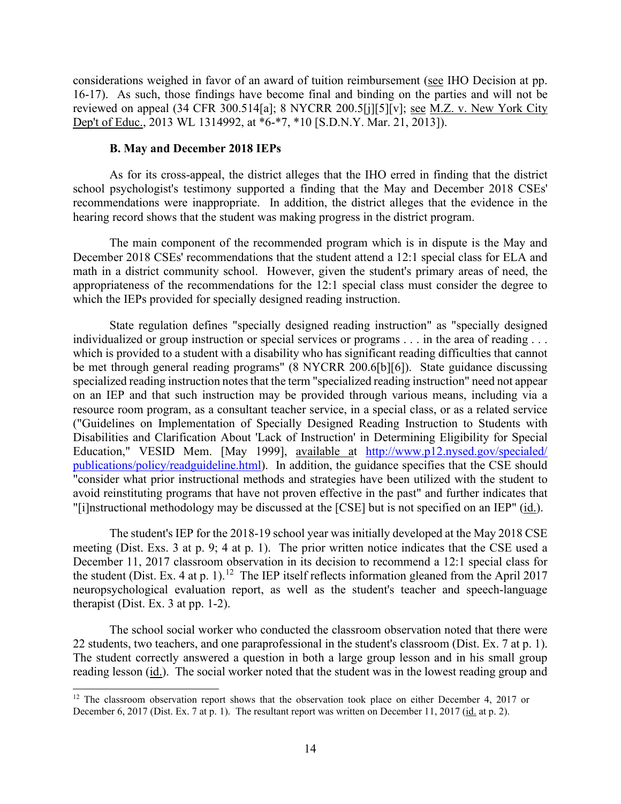reviewed on appeal (34 CFR 300.514[a]; 8 NYCRR 200.5[j][5][v]; <u>see M.Z. v. New York City</u> considerations weighed in favor of an award of tuition reimbursement (see IHO Decision at pp. 16-17). As such, those findings have become final and binding on the parties and will not be Dep't of Educ., 2013 WL 1314992, at \*6-\*7, \*10 [S.D.N.Y. Mar. 21, 2013]).

#### **B. May and December 2018 IEPs**

 recommendations were inappropriate. In addition, the district alleges that the evidence in the As for its cross-appeal, the district alleges that the IHO erred in finding that the district school psychologist's testimony supported a finding that the May and December 2018 CSEs' hearing record shows that the student was making progress in the district program.

The main component of the recommended program which is in dispute is the May and December 2018 CSEs' recommendations that the student attend a 12:1 special class for ELA and math in a district community school. However, given the student's primary areas of need, the appropriateness of the recommendations for the 12:1 special class must consider the degree to which the IEPs provided for specially designed reading instruction.

State regulation defines "specially designed reading instruction" as "specially designed individualized or group instruction or special services or programs . . . in the area of reading . . . which is provided to a student with a disability who has significant reading difficulties that cannot be met through general reading programs" (8 NYCRR 200.6[b][6]). State guidance discussing specialized reading instruction notes that the term "specialized reading instruction" need not appear on an IEP and that such instruction may be provided through various means, including via a resource room program, as a consultant teacher service, in a special class, or as a related service ("Guidelines on Implementation of Specially Designed Reading Instruction to Students with Disabilities and Clarification About 'Lack of Instruction' in Determining Eligibility for Special Education," VESID Mem. [May 1999], available at [http://www.p12.nysed.gov/specialed/](http://www.p12.nysed.gov/specialed/publications/policy/readguideline.html)  [publications/policy/readguideline.html\)](http://www.p12.nysed.gov/specialed/publications/policy/readguideline.html). In addition, the guidance specifies that the CSE should "consider what prior instructional methods and strategies have been utilized with the student to avoid reinstituting programs that have not proven effective in the past" and further indicates that "[i]nstructional methodology may be discussed at the [CSE] but is not specified on an IEP" (id.).

 December 11, 2017 classroom observation in its decision to recommend a 12:1 special class for the student (Dist. Ex. 4 at p. 1).<sup>12</sup> The IEP itself reflects information gleaned from the April 2017 The student's IEP for the 2018-19 school year was initially developed at the May 2018 CSE meeting (Dist. Exs. 3 at p. 9; 4 at p. 1). The prior written notice indicates that the CSE used a neuropsychological evaluation report, as well as the student's teacher and speech-language therapist (Dist. Ex. 3 at pp. 1-2).

22 students, two teachers, and one paraprofessional in the student's classroom (Dist. Ex. 7 at p. 1). The school social worker who conducted the classroom observation noted that there were The student correctly answered a question in both a large group lesson and in his small group reading lesson (id.). The social worker noted that the student was in the lowest reading group and

<span id="page-13-0"></span>December 6, 2017 (Dist. Ex. 7 at p. 1). The resultant report was written on December 11, 2017 (id. at p. 2). <sup>12</sup> The classroom observation report shows that the observation took place on either December 4, 2017 or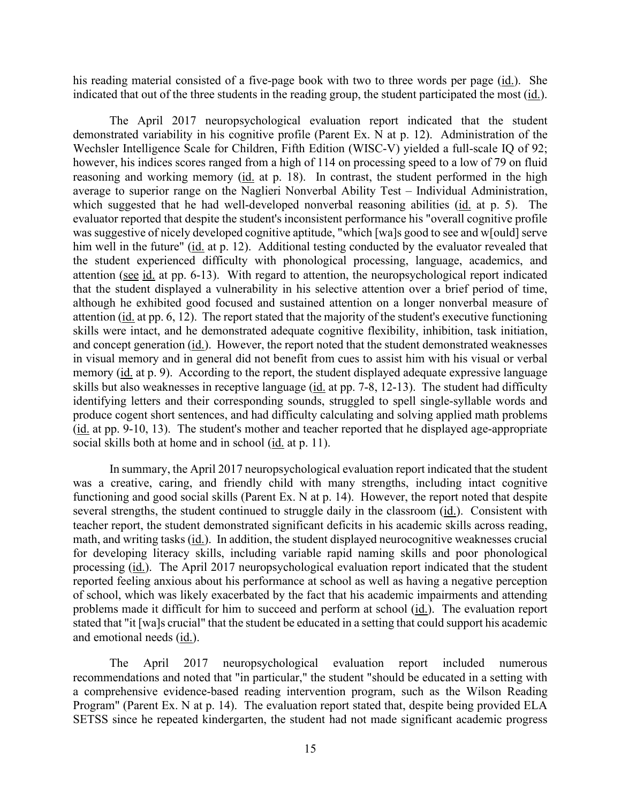his reading material consisted of a five-page book with two to three words per page (id.). She indicated that out of the three students in the reading group, the student participated the most (id.).

 however, his indices scores ranged from a high of 114 on processing speed to a low of 79 on fluid him well in the future" (id. at p. 12). Additional testing conducted by the evaluator revealed that and concept generation (id.). However, the report noted that the student demonstrated weaknesses attention (see  $\frac{id}{dt}$  at pp. 6-13). With regard to attention, the neuropsychological report indicated The April 2017 neuropsychological evaluation report indicated that the student demonstrated variability in his cognitive profile (Parent Ex. N at p. 12). Administration of the Wechsler Intelligence Scale for Children, Fifth Edition (WISC-V) yielded a full-scale IQ of 92; reasoning and working memory (id. at p. 18). In contrast, the student performed in the high average to superior range on the Naglieri Nonverbal Ability Test – Individual Administration, which suggested that he had well-developed nonverbal reasoning abilities (id. at p. 5). The evaluator reported that despite the student's inconsistent performance his "overall cognitive profile was suggestive of nicely developed cognitive aptitude, "which [wa]s good to see and w[ould] serve the student experienced difficulty with phonological processing, language, academics, and that the student displayed a vulnerability in his selective attention over a brief period of time, although he exhibited good focused and sustained attention on a longer nonverbal measure of attention (id. at pp. 6, 12). The report stated that the majority of the student's executive functioning skills were intact, and he demonstrated adequate cognitive flexibility, inhibition, task initiation, in visual memory and in general did not benefit from cues to assist him with his visual or verbal memory (id. at p. 9). According to the report, the student displayed adequate expressive language skills but also weaknesses in receptive language (id. at pp. 7-8, 12-13). The student had difficulty identifying letters and their corresponding sounds, struggled to spell single-syllable words and produce cogent short sentences, and had difficulty calculating and solving applied math problems (id. at pp. 9-10, 13). The student's mother and teacher reported that he displayed age-appropriate social skills both at home and in school (id. at p. 11).

 functioning and good social skills (Parent Ex. N at p. 14). However, the report noted that despite several strengths, the student continued to struggle daily in the classroom (*id.*). Consistent with math, and writing tasks (id.). In addition, the student displayed neurocognitive weaknesses crucial processing (id.). The April 2017 neuropsychological evaluation report indicated that the student problems made it difficult for him to succeed and perform at school (id.). The evaluation report In summary, the April 2017 neuropsychological evaluation report indicated that the student was a creative, caring, and friendly child with many strengths, including intact cognitive teacher report, the student demonstrated significant deficits in his academic skills across reading, for developing literacy skills, including variable rapid naming skills and poor phonological reported feeling anxious about his performance at school as well as having a negative perception of school, which was likely exacerbated by the fact that his academic impairments and attending stated that "it [wa]s crucial" that the student be educated in a setting that could support his academic and emotional needs (id.).

The April 2017 neuropsychological evaluation report included numerous recommendations and noted that "in particular," the student "should be educated in a setting with a comprehensive evidence-based reading intervention program, such as the Wilson Reading Program" (Parent Ex. N at p. 14). The evaluation report stated that, despite being provided ELA SETSS since he repeated kindergarten, the student had not made significant academic progress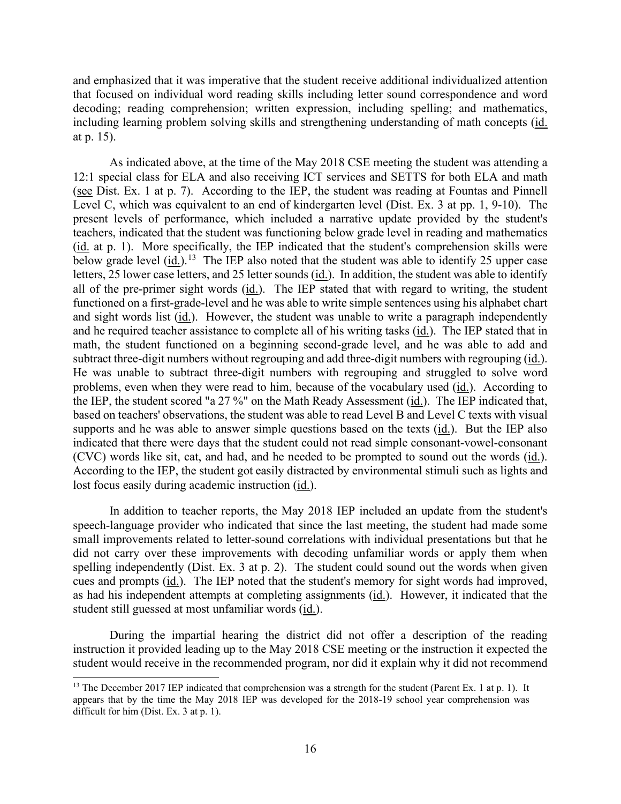and emphasized that it was imperative that the student receive additional individualized attention that focused on individual word reading skills including letter sound correspondence and word decoding; reading comprehension; written expression, including spelling; and mathematics, including learning problem solving skills and strengthening understanding of math concepts (id. at p. 15).

 Level C, which was equivalent to an end of kindergarten level (Dist. Ex. 3 at pp. 1, 9-10). The teachers, indicated that the student was functioning below grade level in reading and mathematics below grade level  $(id.)$ .<sup>13</sup> The IEP also noted that the student was able to identify 25 upper case letters, 25 lower case letters, and 25 letter sounds (*id.*). In addition, the student was able to identify functioned on a first-grade-level and he was able to write simple sentences using his alphabet chart and he required teacher assistance to complete all of his writing tasks (id.). The IEP stated that in subtract three-digit numbers without regrouping and add three-digit numbers with regrouping (id.). the IEP, the student scored "a 27 %" on the Math Ready Assessment (id.). The IEP indicated that, supports and he was able to answer simple questions based on the texts (*id.*). But the IEP also According to the IEP, the student got easily distracted by environmental stimuli such as lights and As indicated above, at the time of the May 2018 CSE meeting the student was attending a 12:1 special class for ELA and also receiving ICT services and SETTS for both ELA and math (see Dist. Ex. 1 at p. 7). According to the IEP, the student was reading at Fountas and Pinnell present levels of performance, which included a narrative update provided by the student's (id. at p. 1). More specifically, the IEP indicated that the student's comprehension skills were all of the pre-primer sight words (id.). The IEP stated that with regard to writing, the student and sight words list (id.). However, the student was unable to write a paragraph independently math, the student functioned on a beginning second-grade level, and he was able to add and He was unable to subtract three-digit numbers with regrouping and struggled to solve word problems, even when they were read to him, because of the vocabulary used (id.). According to based on teachers' observations, the student was able to read Level B and Level C texts with visual indicated that there were days that the student could not read simple consonant-vowel-consonant (CVC) words like sit, cat, and had, and he needed to be prompted to sound out the words (id.). lost focus easily during academic instruction (id.).

 small improvements related to letter-sound correlations with individual presentations but that he cues and prompts (id.). The IEP noted that the student's memory for sight words had improved, In addition to teacher reports, the May 2018 IEP included an update from the student's speech-language provider who indicated that since the last meeting, the student had made some did not carry over these improvements with decoding unfamiliar words or apply them when spelling independently (Dist. Ex. 3 at p. 2). The student could sound out the words when given as had his independent attempts at completing assignments (id.). However, it indicated that the student still guessed at most unfamiliar words (id.).

 instruction it provided leading up to the May 2018 CSE meeting or the instruction it expected the During the impartial hearing the district did not offer a description of the reading student would receive in the recommended program, nor did it explain why it did not recommend

<span id="page-15-0"></span><sup>&</sup>lt;sup>13</sup> The December 2017 IEP indicated that comprehension was a strength for the student (Parent Ex. 1 at p. 1). It appears that by the time the May 2018 IEP was developed for the 2018-19 school year comprehension was difficult for him (Dist. Ex. 3 at p. 1).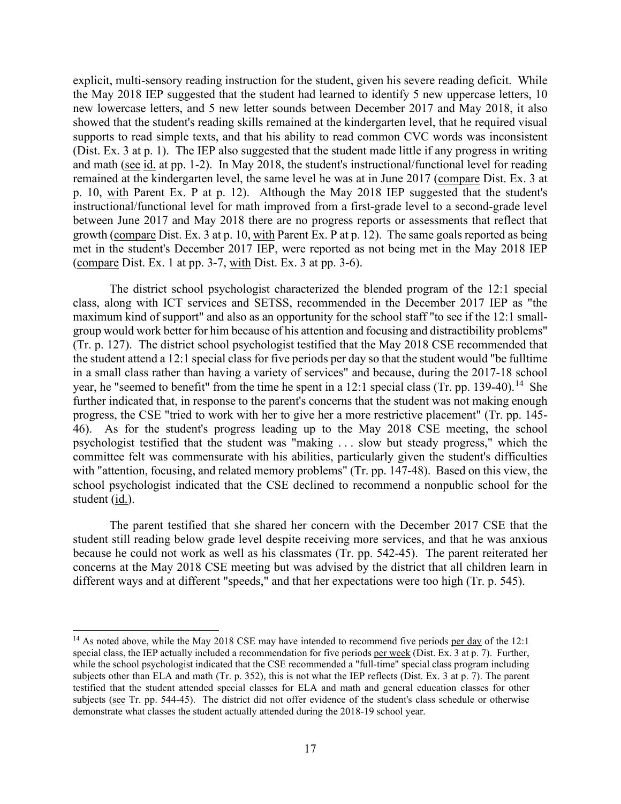and math (see id. at pp. 1-2). In May 2018, the student's instructional/functional level for reading explicit, multi-sensory reading instruction for the student, given his severe reading deficit. While the May 2018 IEP suggested that the student had learned to identify 5 new uppercase letters, 10 new lowercase letters, and 5 new letter sounds between December 2017 and May 2018, it also showed that the student's reading skills remained at the kindergarten level, that he required visual supports to read simple texts, and that his ability to read common CVC words was inconsistent (Dist. Ex. 3 at p. 1). The IEP also suggested that the student made little if any progress in writing remained at the kindergarten level, the same level he was at in June 2017 (compare Dist. Ex. 3 at p. 10, with Parent Ex. P at p. 12). Although the May 2018 IEP suggested that the student's instructional/functional level for math improved from a first-grade level to a second-grade level between June 2017 and May 2018 there are no progress reports or assessments that reflect that growth (compare Dist. Ex. 3 at p. 10, with Parent Ex. P at p. 12). The same goals reported as being met in the student's December 2017 IEP, were reported as not being met in the May 2018 IEP (compare Dist. Ex. 1 at pp. 3-7, with Dist. Ex. 3 at pp. 3-6).

 class, along with ICT services and SETSS, recommended in the December 2017 IEP as "the (Tr. p. 127). The district school psychologist testified that the May 2018 CSE recommended that year, he "seemed to benefit" from the time he spent in a 12:1 special class (Tr. pp. 139-40).<sup>[14](#page-16-0)</sup> She psychologist testified that the student was "making . . . slow but steady progress," which the The district school psychologist characterized the blended program of the 12:1 special maximum kind of support" and also as an opportunity for the school staff "to see if the 12:1 smallgroup would work better for him because of his attention and focusing and distractibility problems" the student attend a 12:1 special class for five periods per day so that the student would "be fulltime in a small class rather than having a variety of services" and because, during the 2017-18 school further indicated that, in response to the parent's concerns that the student was not making enough progress, the CSE "tried to work with her to give her a more restrictive placement" (Tr. pp. 145- 46). As for the student's progress leading up to the May 2018 CSE meeting, the school committee felt was commensurate with his abilities, particularly given the student's difficulties with "attention, focusing, and related memory problems" (Tr. pp. 147-48). Based on this view, the school psychologist indicated that the CSE declined to recommend a nonpublic school for the student (id.).

The parent testified that she shared her concern with the December 2017 CSE that the student still reading below grade level despite receiving more services, and that he was anxious because he could not work as well as his classmates (Tr. pp. 542-45). The parent reiterated her concerns at the May 2018 CSE meeting but was advised by the district that all children learn in different ways and at different "speeds," and that her expectations were too high (Tr. p. 545).

<span id="page-16-0"></span>special class, the IEP actually included a recommendation for five periods per week (Dist. Ex. 3 at p. 7). Further, subjects (see Tr. pp. 544-45). The district did not offer evidence of the student's class schedule or otherwise <sup>14</sup> As noted above, while the May 2018 CSE may have intended to recommend five periods per day of the 12:1 while the school psychologist indicated that the CSE recommended a "full-time" special class program including subjects other than ELA and math (Tr. p. 352), this is not what the IEP reflects (Dist. Ex. 3 at p. 7). The parent testified that the student attended special classes for ELA and math and general education classes for other demonstrate what classes the student actually attended during the 2018-19 school year.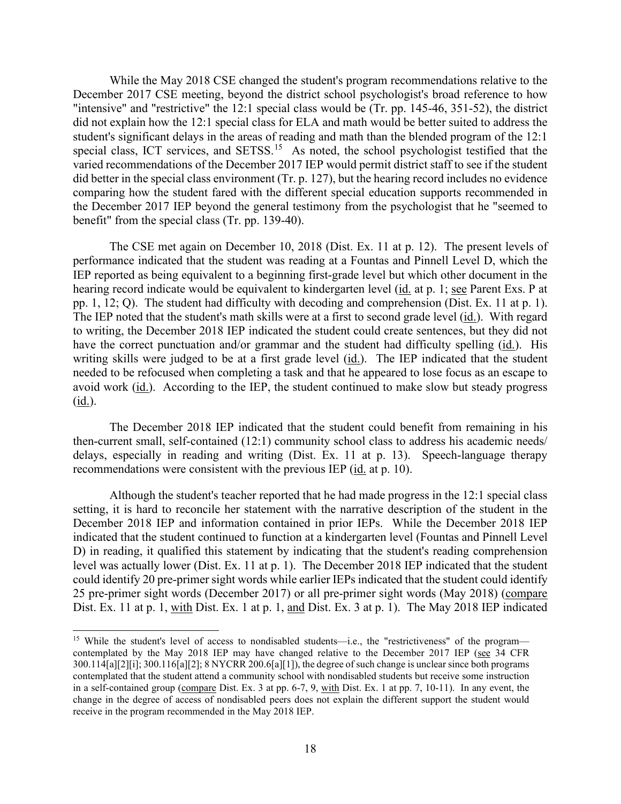December 2017 CSE meeting, beyond the district school psychologist's broad reference to how student's significant delays in the areas of reading and math than the blended program of the 12:1 special class, ICT services, and SETSS.<sup>15</sup> As noted, the school psychologist testified that the varied recommendations of the December 2017 IEP would permit district staff to see if the student While the May 2018 CSE changed the student's program recommendations relative to the "intensive" and "restrictive" the 12:1 special class would be (Tr. pp. 145-46, 351-52), the district did not explain how the 12:1 special class for ELA and math would be better suited to address the did better in the special class environment (Tr. p. 127), but the hearing record includes no evidence comparing how the student fared with the different special education supports recommended in the December 2017 IEP beyond the general testimony from the psychologist that he "seemed to benefit" from the special class (Tr. pp. 139-40).

hearing record indicate would be equivalent to kindergarten level (id. at p. 1; see Parent Exs. P at The CSE met again on December 10, 2018 (Dist. Ex. 11 at p. 12). The present levels of performance indicated that the student was reading at a Fountas and Pinnell Level D, which the IEP reported as being equivalent to a beginning first-grade level but which other document in the pp. 1, 12; Q). The student had difficulty with decoding and comprehension (Dist. Ex. 11 at p. 1). The IEP noted that the student's math skills were at a first to second grade level (id.). With regard to writing, the December 2018 IEP indicated the student could create sentences, but they did not have the correct punctuation and/or grammar and the student had difficulty spelling (id.). His writing skills were judged to be at a first grade level (id.). The IEP indicated that the student needed to be refocused when completing a task and that he appeared to lose focus as an escape to avoid work (id.). According to the IEP, the student continued to make slow but steady progress (id.).

recommendations were consistent with the previous IEP (id. at p. 10). The December 2018 IEP indicated that the student could benefit from remaining in his then-current small, self-contained (12:1) community school class to address his academic needs/ delays, especially in reading and writing (Dist. Ex. 11 at p. 13). Speech-language therapy

Dist. Ex. 11 at p. 1, with Dist. Ex. 1 at p. 1, and Dist. Ex. 3 at p. 1). The May 2018 IEP indicated Although the student's teacher reported that he had made progress in the 12:1 special class setting, it is hard to reconcile her statement with the narrative description of the student in the December 2018 IEP and information contained in prior IEPs. While the December 2018 IEP indicated that the student continued to function at a kindergarten level (Fountas and Pinnell Level D) in reading, it qualified this statement by indicating that the student's reading comprehension level was actually lower (Dist. Ex. 11 at p. 1). The December 2018 IEP indicated that the student could identify 20 pre-primer sight words while earlier IEPs indicated that the student could identify 25 pre-primer sight words (December 2017) or all pre-primer sight words (May 2018) (compare

<span id="page-17-0"></span>contemplated by the May 2018 IEP may have changed relative to the December 2017 IEP (see 34 CFR 300.114[a][2][i]; 300.116[a][2]; 8 NYCRR 200.6[a][1]), the degree of such change is unclear since both programs in a self-contained group (compare Dist. Ex. 3 at pp. 6-7, 9, with Dist. Ex. 1 at pp. 7, 10-11). In any event, the change in the degree of access of nondisabled peers does not explain the different support the student would <sup>15</sup> While the student's level of access to nondisabled students—i.e., the "restrictiveness" of the program contemplated that the student attend a community school with nondisabled students but receive some instruction receive in the program recommended in the May 2018 IEP.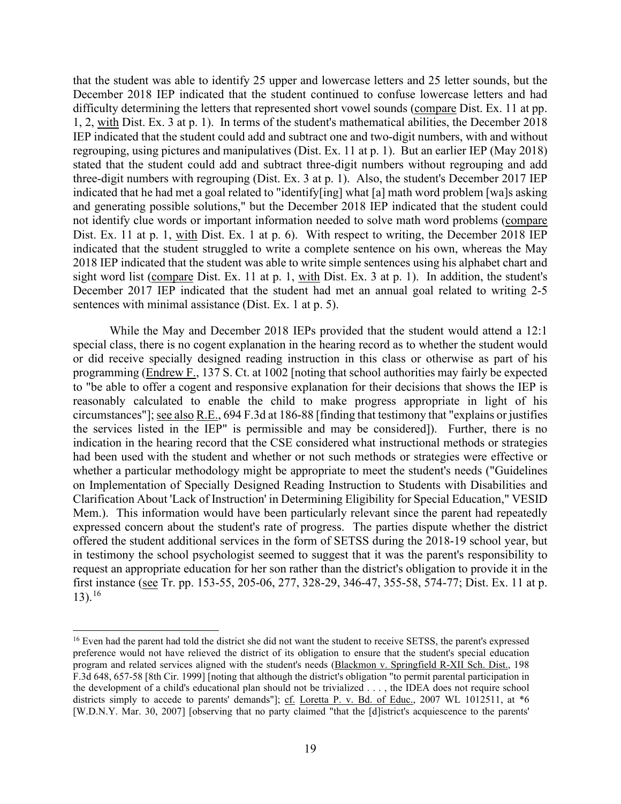December 2018 IEP indicated that the student continued to confuse lowercase letters and had that the student was able to identify 25 upper and lowercase letters and 25 letter sounds, but the difficulty determining the letters that represented short vowel sounds (compare Dist. Ex. 11 at pp. 1, 2, with Dist. Ex. 3 at p. 1). In terms of the student's mathematical abilities, the December 2018 IEP indicated that the student could add and subtract one and two-digit numbers, with and without regrouping, using pictures and manipulatives (Dist. Ex. 11 at p. 1). But an earlier IEP (May 2018) stated that the student could add and subtract three-digit numbers without regrouping and add three-digit numbers with regrouping (Dist. Ex. 3 at p. 1). Also, the student's December 2017 IEP indicated that he had met a goal related to "identify[ing] what [a] math word problem [wa]s asking and generating possible solutions," but the December 2018 IEP indicated that the student could not identify clue words or important information needed to solve math word problems (compare Dist. Ex. 11 at p. 1, with Dist. Ex. 1 at p. 6). With respect to writing, the December 2018 IEP indicated that the student struggled to write a complete sentence on his own, whereas the May 2018 IEP indicated that the student was able to write simple sentences using his alphabet chart and sight word list (compare Dist. Ex. 11 at p. 1, with Dist. Ex. 3 at p. 1). In addition, the student's December 2017 IEP indicated that the student had met an annual goal related to writing 2-5 sentences with minimal assistance (Dist. Ex. 1 at p. 5).

 While the May and December 2018 IEPs provided that the student would attend a 12:1 circumstances"]; <u>see also R.E.,</u> 694 F.3d at 186-88 [finding that testimony that "explains or justifies had been used with the student and whether or not such methods or strategies were effective or Mem.). This information would have been particularly relevant since the parent had repeatedly offered the student additional services in the form of SETSS during the 2018-19 school year, but special class, there is no cogent explanation in the hearing record as to whether the student would or did receive specially designed reading instruction in this class or otherwise as part of his programming (Endrew F., 137 S. Ct. at 1002 [noting that school authorities may fairly be expected to "be able to offer a cogent and responsive explanation for their decisions that shows the IEP is reasonably calculated to enable the child to make progress appropriate in light of his the services listed in the IEP" is permissible and may be considered]). Further, there is no indication in the hearing record that the CSE considered what instructional methods or strategies whether a particular methodology might be appropriate to meet the student's needs ("Guidelines on Implementation of Specially Designed Reading Instruction to Students with Disabilities and Clarification About 'Lack of Instruction' in Determining Eligibility for Special Education," VESID expressed concern about the student's rate of progress. The parties dispute whether the district in testimony the school psychologist seemed to suggest that it was the parent's responsibility to request an appropriate education for her son rather than the district's obligation to provide it in the first instance (see Tr. pp. 153-55, 205-06, 277, 328-29, 346-47, 355-58, 574-77; Dist. Ex. 11 at p.  $13)$ .<sup>16</sup>

<span id="page-18-0"></span> preference would not have relieved the district of its obligation to ensure that the student's special education the development of a child's educational plan should not be trivialized . . . , the IDEA does not require school [W.D.N.Y. Mar. 30, 2007] [observing that no party claimed "that the [d]istrict's acquiescence to the parents' <sup>16</sup> Even had the parent had told the district she did not want the student to receive SETSS, the parent's expressed program and related services aligned with the student's needs (Blackmon v. Springfield R-XII Sch. Dist., 198 F.3d 648, 657-58 [8th Cir. 1999] [noting that although the district's obligation "to permit parental participation in districts simply to accede to parents' demands"]; cf. Loretta P. v. Bd. of Educ., 2007 WL 1012511, at  $*6$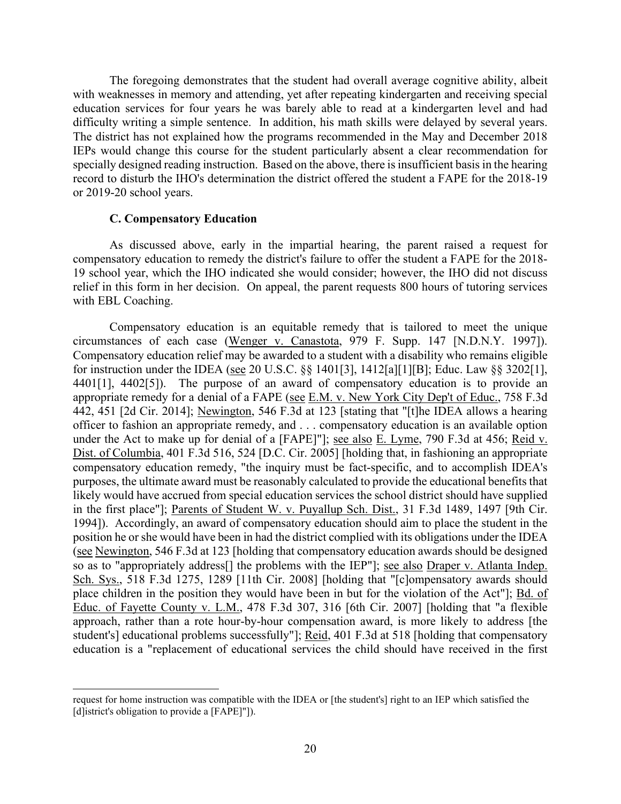The foregoing demonstrates that the student had overall average cognitive ability, albeit with weaknesses in memory and attending, yet after repeating kindergarten and receiving special education services for four years he was barely able to read at a kindergarten level and had difficulty writing a simple sentence. In addition, his math skills were delayed by several years. The district has not explained how the programs recommended in the May and December 2018 IEPs would change this course for the student particularly absent a clear recommendation for specially designed reading instruction. Based on the above, there is insufficient basis in the hearing record to disturb the IHO's determination the district offered the student a FAPE for the 2018-19 or 2019-20 school years.

#### **C. Compensatory Education**

As discussed above, early in the impartial hearing, the parent raised a request for compensatory education to remedy the district's failure to offer the student a FAPE for the 2018- 19 school year, which the IHO indicated she would consider; however, the IHO did not discuss relief in this form in her decision. On appeal, the parent requests 800 hours of tutoring services with EBL Coaching.

circumstances of each case (Wenger v. Canastota, 979 F. Supp. 147 [N.D.N.Y. 1997]). for instruction under the IDEA (see 20 U.S.C.  $\S$  1401[3], 1412[a][1][B]; Educ. Law  $\S$  3202[1], position he or she would have been in had the district complied with its obligations under the IDEA place children in the position they would have been in but for the violation of the Act"]; **Bd.** of Compensatory education is an equitable remedy that is tailored to meet the unique Compensatory education relief may be awarded to a student with a disability who remains eligible 4401[1], 4402[5]). The purpose of an award of compensatory education is to provide an appropriate remedy for a denial of a FAPE (see E.M. v. New York City Dep't of Educ., 758 F.3d 442, 451 [2d Cir. 2014]; Newington, 546 F.3d at 123 [stating that "[t]he IDEA allows a hearing officer to fashion an appropriate remedy, and . . . compensatory education is an available option under the Act to make up for denial of a [FAPE]"]; see also E. Lyme, 790 F.3d at 456; Reid v. Dist. of Columbia, 401 F.3d 516, 524 [D.C. Cir. 2005] [holding that, in fashioning an appropriate compensatory education remedy, "the inquiry must be fact-specific, and to accomplish IDEA's purposes, the ultimate award must be reasonably calculated to provide the educational benefits that likely would have accrued from special education services the school district should have supplied in the first place"]; Parents of Student W. v. Puyallup Sch. Dist., 31 F.3d 1489, 1497 [9th Cir. 1994]). Accordingly, an award of compensatory education should aim to place the student in the (see Newington, 546 F.3d at 123 [holding that compensatory education awards should be designed so as to "appropriately address[] the problems with the IEP"]; see also Draper v. Atlanta Indep. Sch. Sys., 518 F.3d 1275, 1289 [11th Cir. 2008] [holding that "[c]ompensatory awards should Educ. of Fayette County v. L.M., 478 F.3d 307, 316 [6th Cir. 2007] [holding that "a flexible approach, rather than a rote hour-by-hour compensation award, is more likely to address [the student's] educational problems successfully"]; Reid, 401 F.3d at 518 [holding that compensatory education is a "replacement of educational services the child should have received in the first

request for home instruction was compatible with the IDEA or [the student's] right to an IEP which satisfied the [d]istrict's obligation to provide a [FAPE]"]).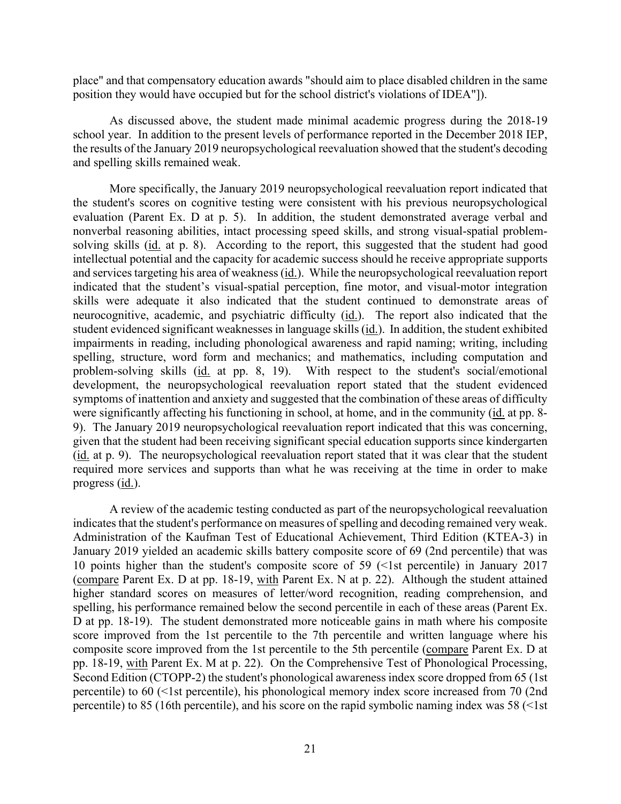place" and that compensatory education awards "should aim to place disabled children in the same position they would have occupied but for the school district's violations of IDEA"]).

 school year. In addition to the present levels of performance reported in the December 2018 IEP, the results of the January 2019 neuropsychological reevaluation showed that the student's decoding As discussed above, the student made minimal academic progress during the 2018-19 and spelling skills remained weak.

 evaluation (Parent Ex. D at p. 5). In addition, the student demonstrated average verbal and and services targeting his area of weakness (id.). While the neuropsychological reevaluation report neurocognitive, academic, and psychiatric difficulty (id.). The report also indicated that the student evidenced significant weaknesses in language skills (*id.*). In addition, the student exhibited More specifically, the January 2019 neuropsychological reevaluation report indicated that the student's scores on cognitive testing were consistent with his previous neuropsychological nonverbal reasoning abilities, intact processing speed skills, and strong visual-spatial problemsolving skills (id. at p. 8). According to the report, this suggested that the student had good intellectual potential and the capacity for academic success should he receive appropriate supports indicated that the student's visual-spatial perception, fine motor, and visual-motor integration skills were adequate it also indicated that the student continued to demonstrate areas of impairments in reading, including phonological awareness and rapid naming; writing, including spelling, structure, word form and mechanics; and mathematics, including computation and problem-solving skills (id. at pp. 8, 19). With respect to the student's social/emotional development, the neuropsychological reevaluation report stated that the student evidenced symptoms of inattention and anxiety and suggested that the combination of these areas of difficulty were significantly affecting his functioning in school, at home, and in the community (id. at pp. 8- 9). The January 2019 neuropsychological reevaluation report indicated that this was concerning, given that the student had been receiving significant special education supports since kindergarten (id. at p. 9). The neuropsychological reevaluation report stated that it was clear that the student required more services and supports than what he was receiving at the time in order to make progress (id.).

 10 points higher than the student's composite score of 59 (<1st percentile) in January 2017 (compare Parent Ex. D at pp. 18-19, with Parent Ex. N at p. 22). Although the student attained D at pp. 18-19). The student demonstrated more noticeable gains in math where his composite score improved from the 1st percentile to the 7th percentile and written language where his pp. 18-19, with Parent Ex. M at p. 22). On the Comprehensive Test of Phonological Processing, percentile) to 85 (16th percentile), and his score on the rapid symbolic naming index was 58 (<1st A review of the academic testing conducted as part of the neuropsychological reevaluation indicates that the student's performance on measures of spelling and decoding remained very weak. Administration of the Kaufman Test of Educational Achievement, Third Edition (KTEA-3) in January 2019 yielded an academic skills battery composite score of 69 (2nd percentile) that was higher standard scores on measures of letter/word recognition, reading comprehension, and spelling, his performance remained below the second percentile in each of these areas (Parent Ex. composite score improved from the 1st percentile to the 5th percentile (compare Parent Ex. D at Second Edition (CTOPP-2) the student's phonological awareness index score dropped from 65 (1st percentile) to 60 (<1st percentile), his phonological memory index score increased from 70 (2nd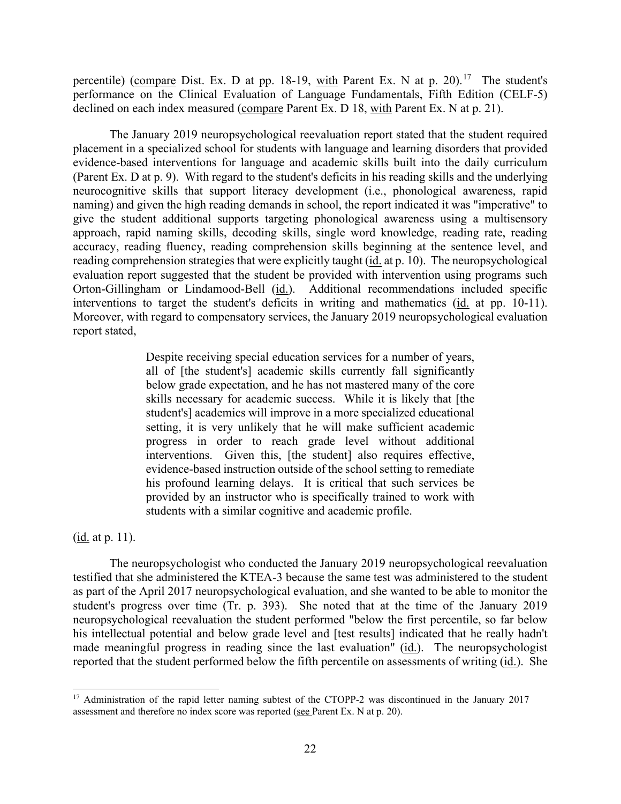percentile) (compare Dist. Ex. D at pp. 18-19, with Parent Ex. N at p. 20).<sup>17</sup> The student's declined on each index measured (compare Parent Ex. D 18, with Parent Ex. N at p. 21). performance on the Clinical Evaluation of Language Fundamentals, Fifth Edition (CELF-5)

reading comprehension strategies that were explicitly taught (id. at p. 10). The neuropsychological Orton-Gillingham or Lindamood-Bell (id.). Additional recommendations included specific interventions to target the student's deficits in writing and mathematics (id. at pp. 10-11). The January 2019 neuropsychological reevaluation report stated that the student required placement in a specialized school for students with language and learning disorders that provided evidence-based interventions for language and academic skills built into the daily curriculum (Parent Ex. D at p. 9). With regard to the student's deficits in his reading skills and the underlying neurocognitive skills that support literacy development (i.e., phonological awareness, rapid naming) and given the high reading demands in school, the report indicated it was "imperative" to give the student additional supports targeting phonological awareness using a multisensory approach, rapid naming skills, decoding skills, single word knowledge, reading rate, reading accuracy, reading fluency, reading comprehension skills beginning at the sentence level, and evaluation report suggested that the student be provided with intervention using programs such Moreover, with regard to compensatory services, the January 2019 neuropsychological evaluation report stated,

> Despite receiving special education services for a number of years, all of [the student's] academic skills currently fall significantly below grade expectation, and he has not mastered many of the core skills necessary for academic success. While it is likely that [the student's] academics will improve in a more specialized educational setting, it is very unlikely that he will make sufficient academic progress in order to reach grade level without additional interventions. Given this, [the student] also requires effective, evidence-based instruction outside of the school setting to remediate his profound learning delays. It is critical that such services be provided by an instructor who is specifically trained to work with students with a similar cognitive and academic profile.

(<u>id.</u> at p. 11).

The neuropsychologist who conducted the January 2019 neuropsychological reevaluation testified that she administered the KTEA-3 because the same test was administered to the student as part of the April 2017 neuropsychological evaluation, and she wanted to be able to monitor the student's progress over time (Tr. p. 393). She noted that at the time of the January 2019 neuropsychological reevaluation the student performed "below the first percentile, so far below his intellectual potential and below grade level and [test results] indicated that he really hadn't made meaningful progress in reading since the last evaluation" (id.). The neuropsychologist reported that the student performed below the fifth percentile on assessments of writing (id.). She

<span id="page-21-0"></span>assessment and therefore no index score was reported (see Parent Ex. N at p. 20). <sup>17</sup> Administration of the rapid letter naming subtest of the CTOPP-2 was discontinued in the January 2017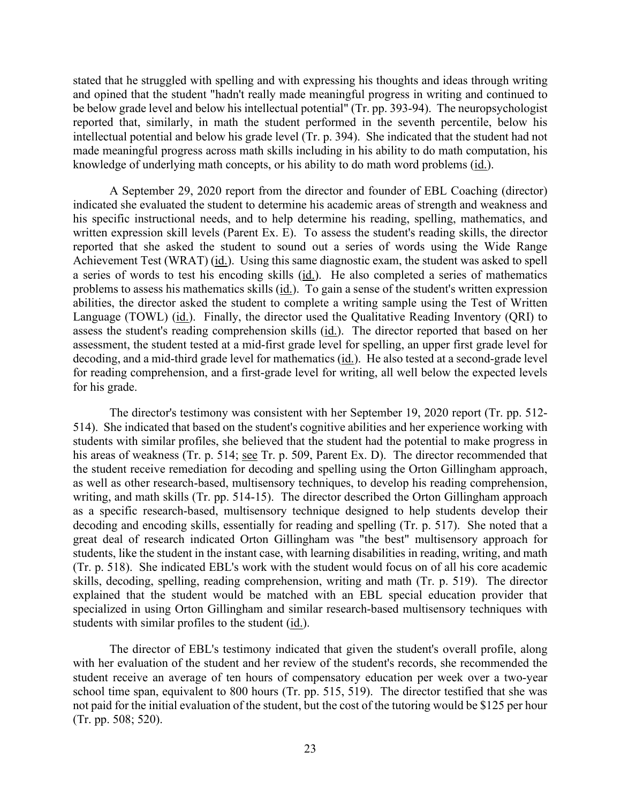stated that he struggled with spelling and with expressing his thoughts and ideas through writing and opined that the student "hadn't really made meaningful progress in writing and continued to be below grade level and below his intellectual potential" (Tr. pp. 393-94). The neuropsychologist reported that, similarly, in math the student performed in the seventh percentile, below his intellectual potential and below his grade level (Tr. p. 394). She indicated that the student had not made meaningful progress across math skills including in his ability to do math computation, his knowledge of underlying math concepts, or his ability to do math word problems (id.).

A September 29, 2020 report from the director and founder of EBL Coaching (director) indicated she evaluated the student to determine his academic areas of strength and weakness and his specific instructional needs, and to help determine his reading, spelling, mathematics, and written expression skill levels (Parent Ex. E). To assess the student's reading skills, the director reported that she asked the student to sound out a series of words using the Wide Range Achievement Test (WRAT) (id.). Using this same diagnostic exam, the student was asked to spell a series of words to test his encoding skills (id.). He also completed a series of mathematics problems to assess his mathematics skills (id.). To gain a sense of the student's written expression abilities, the director asked the student to complete a writing sample using the Test of Written Language (TOWL) (id.). Finally, the director used the Qualitative Reading Inventory (QRI) to assess the student's reading comprehension skills (id.). The director reported that based on her assessment, the student tested at a mid-first grade level for spelling, an upper first grade level for decoding, and a mid-third grade level for mathematics (id.). He also tested at a second-grade level for reading comprehension, and a first-grade level for writing, all well below the expected levels for his grade.

his areas of weakness (Tr. p. 514; see Tr. p. 509, Parent Ex. D). The director recommended that students, like the student in the instant case, with learning disabilities in reading, writing, and math The director's testimony was consistent with her September 19, 2020 report (Tr. pp. 512- 514). She indicated that based on the student's cognitive abilities and her experience working with students with similar profiles, she believed that the student had the potential to make progress in the student receive remediation for decoding and spelling using the Orton Gillingham approach, as well as other research-based, multisensory techniques, to develop his reading comprehension, writing, and math skills (Tr. pp. 514-15). The director described the Orton Gillingham approach as a specific research-based, multisensory technique designed to help students develop their decoding and encoding skills, essentially for reading and spelling (Tr. p. 517). She noted that a great deal of research indicated Orton Gillingham was "the best" multisensory approach for (Tr. p. 518). She indicated EBL's work with the student would focus on of all his core academic skills, decoding, spelling, reading comprehension, writing and math (Tr. p. 519). The director explained that the student would be matched with an EBL special education provider that specialized in using Orton Gillingham and similar research-based multisensory techniques with students with similar profiles to the student (id.).

The director of EBL's testimony indicated that given the student's overall profile, along with her evaluation of the student and her review of the student's records, she recommended the student receive an average of ten hours of compensatory education per week over a two-year school time span, equivalent to 800 hours (Tr. pp. 515, 519). The director testified that she was not paid for the initial evaluation of the student, but the cost of the tutoring would be \$125 per hour (Tr. pp. 508; 520).